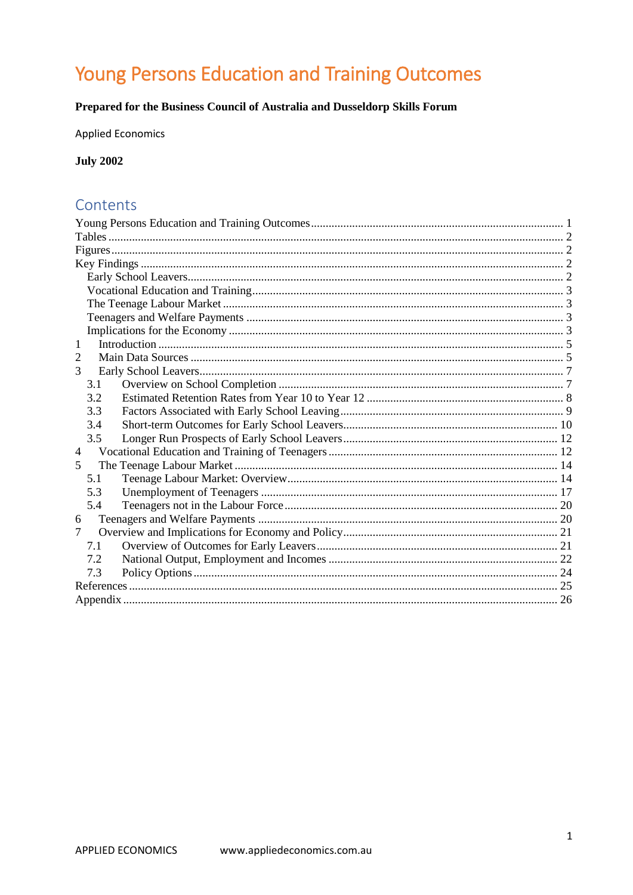# <span id="page-0-0"></span>Young Persons Education and Training Outcomes

# Prepared for the Business Council of Australia and Dusseldorp Skills Forum

**Applied Economics** 

**July 2002** 

# Contents

| 1                       |
|-------------------------|
| 2                       |
| 3                       |
| 3.1                     |
| 3.2                     |
| 3.3                     |
| 3.4                     |
| 3.5                     |
| $\overline{4}$          |
| $\overline{\mathbf{5}}$ |
| 5.1                     |
| 5.3                     |
| 5.4                     |
| 6                       |
| $\tau$                  |
| 7.1                     |
| 7.2                     |
| 7.3                     |
|                         |
|                         |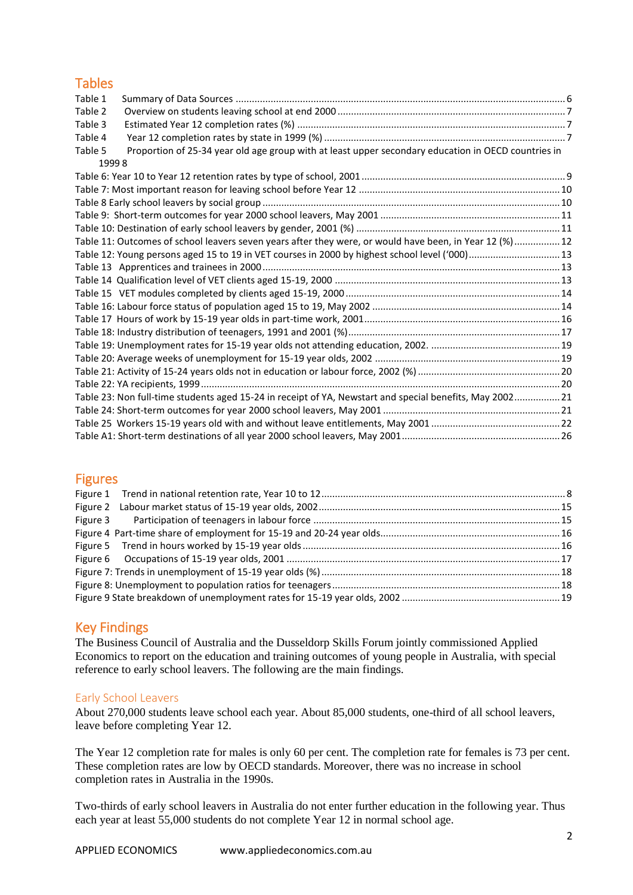# <span id="page-1-0"></span>**Tables**

| Table 1                                                                                                        |  |
|----------------------------------------------------------------------------------------------------------------|--|
| Table 2                                                                                                        |  |
| Table 3                                                                                                        |  |
| Table 4                                                                                                        |  |
| Proportion of 25-34 year old age group with at least upper secondary education in OECD countries in<br>Table 5 |  |
| 19998                                                                                                          |  |
|                                                                                                                |  |
|                                                                                                                |  |
|                                                                                                                |  |
|                                                                                                                |  |
|                                                                                                                |  |
| Table 11: Outcomes of school leavers seven years after they were, or would have been, in Year 12 (%) 12        |  |
| Table 12: Young persons aged 15 to 19 in VET courses in 2000 by highest school level ('000) 13                 |  |
|                                                                                                                |  |
|                                                                                                                |  |
|                                                                                                                |  |
|                                                                                                                |  |
|                                                                                                                |  |
|                                                                                                                |  |
|                                                                                                                |  |
|                                                                                                                |  |
|                                                                                                                |  |
|                                                                                                                |  |
| Table 23: Non full-time students aged 15-24 in receipt of YA, Newstart and special benefits, May 2002 21       |  |
|                                                                                                                |  |
|                                                                                                                |  |
|                                                                                                                |  |
|                                                                                                                |  |

# <span id="page-1-1"></span>Figures

# <span id="page-1-2"></span>Key Findings

The Business Council of Australia and the Dusseldorp Skills Forum jointly commissioned Applied Economics to report on the education and training outcomes of young people in Australia, with special reference to early school leavers. The following are the main findings.

### <span id="page-1-3"></span>Early School Leavers

About 270,000 students leave school each year. About 85,000 students, one-third of all school leavers, leave before completing Year 12.

The Year 12 completion rate for males is only 60 per cent. The completion rate for females is 73 per cent. These completion rates are low by OECD standards. Moreover, there was no increase in school completion rates in Australia in the 1990s.

Two-thirds of early school leavers in Australia do not enter further education in the following year. Thus each year at least 55,000 students do not complete Year 12 in normal school age.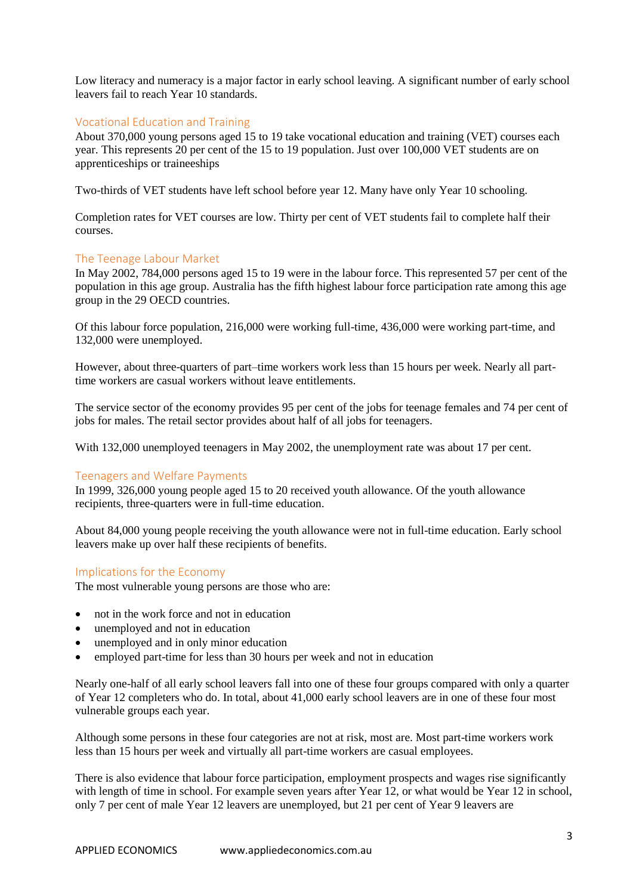Low literacy and numeracy is a major factor in early school leaving. A significant number of early school leavers fail to reach Year 10 standards.

### <span id="page-2-0"></span>Vocational Education and Training

About 370,000 young persons aged 15 to 19 take vocational education and training (VET) courses each year. This represents 20 per cent of the 15 to 19 population. Just over 100,000 VET students are on apprenticeships or traineeships

Two-thirds of VET students have left school before year 12. Many have only Year 10 schooling.

Completion rates for VET courses are low. Thirty per cent of VET students fail to complete half their courses.

#### <span id="page-2-1"></span>The Teenage Labour Market

In May 2002, 784,000 persons aged 15 to 19 were in the labour force. This represented 57 per cent of the population in this age group. Australia has the fifth highest labour force participation rate among this age group in the 29 OECD countries.

Of this labour force population, 216,000 were working full-time, 436,000 were working part-time, and 132,000 were unemployed.

However, about three-quarters of part–time workers work less than 15 hours per week. Nearly all parttime workers are casual workers without leave entitlements.

The service sector of the economy provides 95 per cent of the jobs for teenage females and 74 per cent of jobs for males. The retail sector provides about half of all jobs for teenagers.

With 132,000 unemployed teenagers in May 2002, the unemployment rate was about 17 per cent.

#### <span id="page-2-2"></span>Teenagers and Welfare Payments

In 1999, 326,000 young people aged 15 to 20 received youth allowance. Of the youth allowance recipients, three-quarters were in full-time education.

About 84,000 young people receiving the youth allowance were not in full-time education. Early school leavers make up over half these recipients of benefits.

#### <span id="page-2-3"></span>Implications for the Economy

The most vulnerable young persons are those who are:

- not in the work force and not in education
- unemployed and not in education
- unemployed and in only minor education
- employed part-time for less than 30 hours per week and not in education

Nearly one-half of all early school leavers fall into one of these four groups compared with only a quarter of Year 12 completers who do. In total, about 41,000 early school leavers are in one of these four most vulnerable groups each year.

Although some persons in these four categories are not at risk, most are. Most part-time workers work less than 15 hours per week and virtually all part-time workers are casual employees.

There is also evidence that labour force participation, employment prospects and wages rise significantly with length of time in school. For example seven years after Year 12, or what would be Year 12 in school, only 7 per cent of male Year 12 leavers are unemployed, but 21 per cent of Year 9 leavers are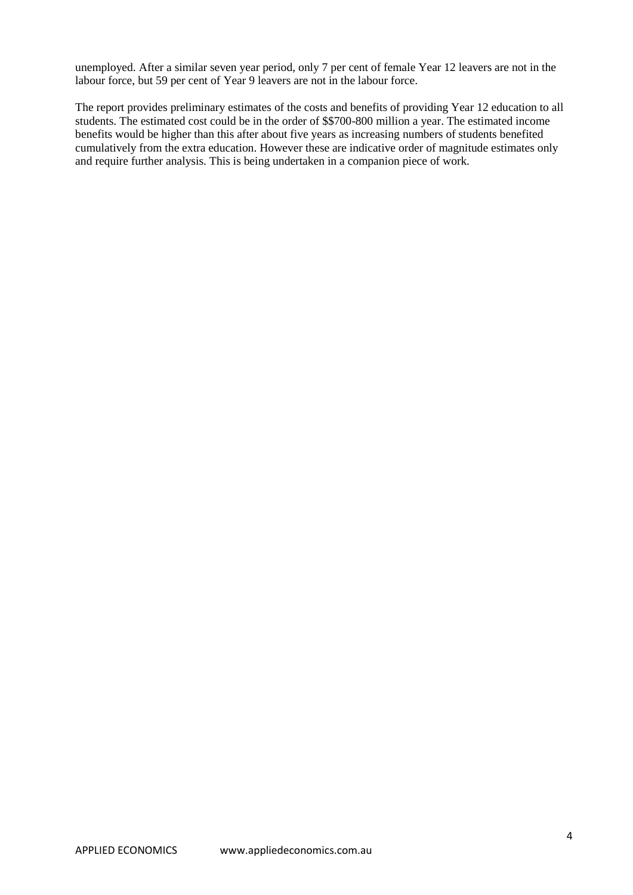unemployed. After a similar seven year period, only 7 per cent of female Year 12 leavers are not in the labour force, but 59 per cent of Year 9 leavers are not in the labour force.

The report provides preliminary estimates of the costs and benefits of providing Year 12 education to all students. The estimated cost could be in the order of \$\$700-800 million a year. The estimated income benefits would be higher than this after about five years as increasing numbers of students benefited cumulatively from the extra education. However these are indicative order of magnitude estimates only and require further analysis. This is being undertaken in a companion piece of work.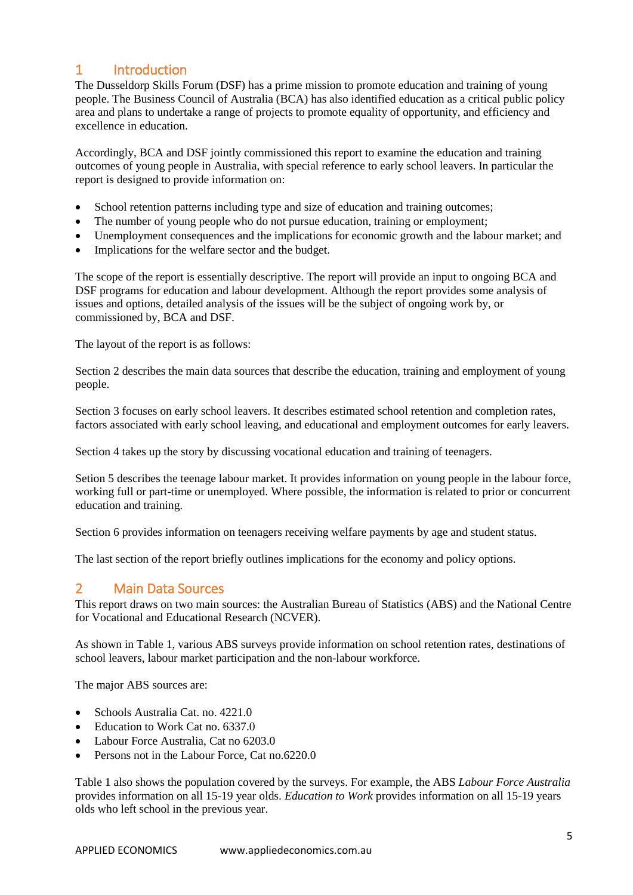# <span id="page-4-0"></span>1 Introduction

The Dusseldorp Skills Forum (DSF) has a prime mission to promote education and training of young people. The Business Council of Australia (BCA) has also identified education as a critical public policy area and plans to undertake a range of projects to promote equality of opportunity, and efficiency and excellence in education.

Accordingly, BCA and DSF jointly commissioned this report to examine the education and training outcomes of young people in Australia, with special reference to early school leavers. In particular the report is designed to provide information on:

- School retention patterns including type and size of education and training outcomes;
- The number of young people who do not pursue education, training or employment;
- Unemployment consequences and the implications for economic growth and the labour market; and
- Implications for the welfare sector and the budget.

The scope of the report is essentially descriptive. The report will provide an input to ongoing BCA and DSF programs for education and labour development. Although the report provides some analysis of issues and options, detailed analysis of the issues will be the subject of ongoing work by, or commissioned by, BCA and DSF.

The layout of the report is as follows:

Section 2 describes the main data sources that describe the education, training and employment of young people.

Section 3 focuses on early school leavers. It describes estimated school retention and completion rates, factors associated with early school leaving, and educational and employment outcomes for early leavers.

Section 4 takes up the story by discussing vocational education and training of teenagers.

Setion 5 describes the teenage labour market. It provides information on young people in the labour force, working full or part-time or unemployed. Where possible, the information is related to prior or concurrent education and training.

Section 6 provides information on teenagers receiving welfare payments by age and student status.

The last section of the report briefly outlines implications for the economy and policy options.

# <span id="page-4-1"></span>2 Main Data Sources

This report draws on two main sources: the Australian Bureau of Statistics (ABS) and the National Centre for Vocational and Educational Research (NCVER).

As shown in Table 1, various ABS surveys provide information on school retention rates, destinations of school leavers, labour market participation and the non-labour workforce.

The major ABS sources are:

- Schools Australia Cat. no. 4221.0
- Education to Work Cat no. 6337.0
- Labour Force Australia, Cat no 6203.0
- Persons not in the Labour Force, Cat no.6220.0

Table 1 also shows the population covered by the surveys. For example, the ABS *Labour Force Australia* provides information on all 15-19 year olds. *Education to Work* provides information on all 15-19 years olds who left school in the previous year.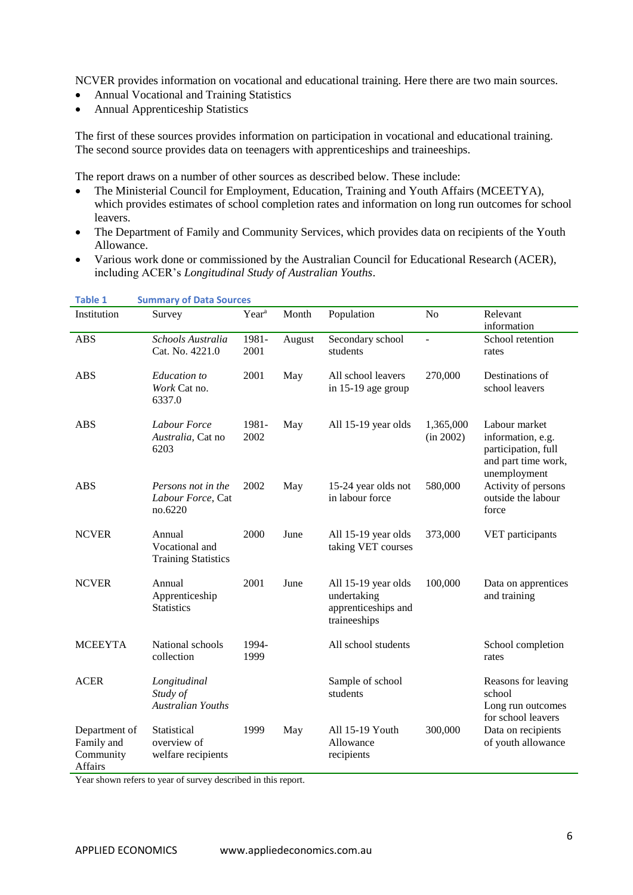NCVER provides information on vocational and educational training. Here there are two main sources.

- Annual Vocational and Training Statistics
- Annual Apprenticeship Statistics

The first of these sources provides information on participation in vocational and educational training. The second source provides data on teenagers with apprenticeships and traineeships.

The report draws on a number of other sources as described below. These include:

- The Ministerial Council for Employment, Education, Training and Youth Affairs (MCEETYA), which provides estimates of school completion rates and information on long run outcomes for school leavers.
- The Department of Family and Community Services, which provides data on recipients of the Youth Allowance.
- Various work done or commissioned by the Australian Council for Educational Research (ACER), including ACER's *Longitudinal Study of Australian Youths*.

<span id="page-5-0"></span>

| <b>Table 1</b>                                      | <b>Summary of Data Sources</b>                         |                   |        |                                                                           |                        |                                                                                                  |  |
|-----------------------------------------------------|--------------------------------------------------------|-------------------|--------|---------------------------------------------------------------------------|------------------------|--------------------------------------------------------------------------------------------------|--|
| Institution                                         | Survey                                                 | Year <sup>a</sup> | Month  | Population                                                                | N <sub>o</sub>         | Relevant<br>information                                                                          |  |
| <b>ABS</b>                                          | Schools Australia<br>Cat. No. 4221.0                   | 1981-<br>2001     | August | Secondary school<br>students                                              | $\overline{a}$         | School retention<br>rates                                                                        |  |
| <b>ABS</b>                                          | <b>Education</b> to<br>Work Cat no.<br>6337.0          | 2001              | May    | All school leavers<br>in 15-19 age group                                  | 270,000                | Destinations of<br>school leavers                                                                |  |
| <b>ABS</b>                                          | Labour Force<br>Australia, Cat no<br>6203              | 1981-<br>2002     | May    | All 15-19 year olds                                                       | 1,365,000<br>(in 2002) | Labour market<br>information, e.g.<br>participation, full<br>and part time work,<br>unemployment |  |
| <b>ABS</b>                                          | Persons not in the<br>Labour Force, Cat<br>no.6220     | 2002              | May    | 15-24 year olds not<br>in labour force                                    | 580,000                | Activity of persons<br>outside the labour<br>force                                               |  |
| <b>NCVER</b>                                        | Annual<br>Vocational and<br><b>Training Statistics</b> | 2000              | June   | All 15-19 year olds<br>taking VET courses                                 | 373,000                | VET participants                                                                                 |  |
| <b>NCVER</b>                                        | Annual<br>Apprenticeship<br><b>Statistics</b>          | 2001              | June   | All 15-19 year olds<br>undertaking<br>apprenticeships and<br>traineeships | 100,000                | Data on apprentices<br>and training                                                              |  |
| <b>MCEEYTA</b>                                      | National schools<br>collection                         | 1994-<br>1999     |        | All school students                                                       |                        | School completion<br>rates                                                                       |  |
| <b>ACER</b>                                         | Longitudinal<br>Study of<br><b>Australian Youths</b>   |                   |        | Sample of school<br>students                                              |                        | Reasons for leaving<br>school<br>Long run outcomes<br>for school leavers                         |  |
| Department of<br>Family and<br>Community<br>Affairs | Statistical<br>overview of<br>welfare recipients       | 1999              | May    | All 15-19 Youth<br>Allowance<br>recipients                                | 300,000                | Data on recipients<br>of youth allowance                                                         |  |

Year shown refers to year of survey described in this report.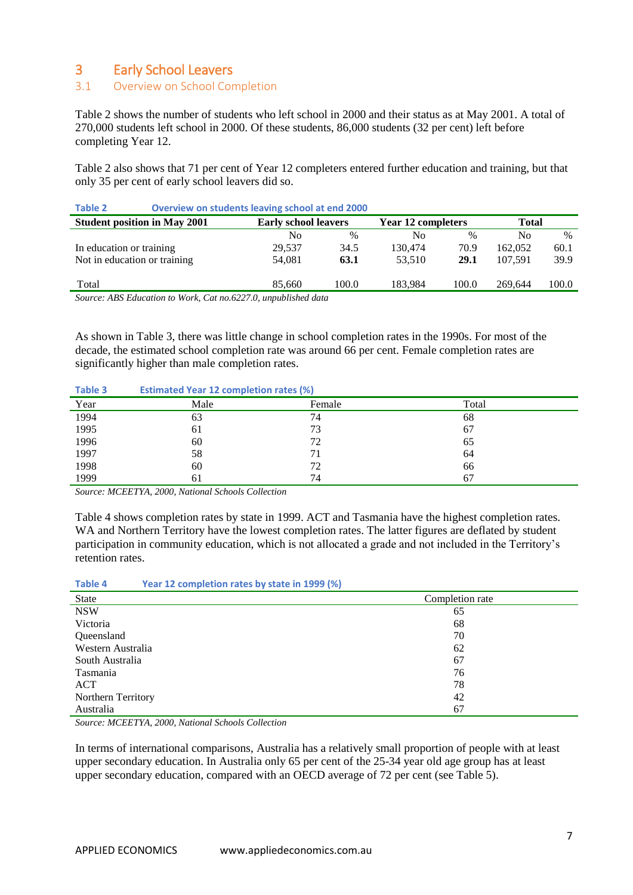# <span id="page-6-0"></span>3 Early School Leavers

### <span id="page-6-1"></span>3.1 Overview on School Completion

Table 2 shows the number of students who left school in 2000 and their status as at May 2001. A total of 270,000 students left school in 2000. Of these students, 86,000 students (32 per cent) left before completing Year 12.

Table 2 also shows that 71 per cent of Year 12 completers entered further education and training, but that only 35 per cent of early school leavers did so.

| TANIE Z<br>Overview on students reaving scribbi at end zood |        |                             |         |                           |         |               |  |
|-------------------------------------------------------------|--------|-----------------------------|---------|---------------------------|---------|---------------|--|
| <b>Student position in May 2001</b>                         |        | <b>Early school leavers</b> |         | <b>Year 12 completers</b> |         | <b>Total</b>  |  |
|                                                             | No     | $\%$                        | No      | $\%$                      | No      | $\frac{0}{0}$ |  |
| In education or training                                    | 29.537 | 34.5                        | 130.474 | 70.9                      | 162,052 | 60.1          |  |
| Not in education or training                                | 54,081 | 63.1                        | 53.510  | 29.1                      | 107.591 | 39.9          |  |
|                                                             |        |                             |         |                           |         |               |  |
| Total                                                       | 85,660 | 100.0                       | 183.984 | 100.0                     | 269.644 | 100.0         |  |
| Course ADC Education to Work Cat no 6227 0 unpublished data |        |                             |         |                           |         |               |  |

<span id="page-6-2"></span>**Table 2 Overview on students leaving school at end 2000** 

*Source: ABS Education to Work, Cat no.6227.0, unpublished data* 

As shown in Table 3, there was little change in school completion rates in the 1990s. For most of the decade, the estimated school completion rate was around 66 per cent. Female completion rates are significantly higher than male completion rates.

#### <span id="page-6-3"></span>**Table 3 Estimated Year 12 completion rates (%)**

| Year | Male | Female | Total |
|------|------|--------|-------|
| 1994 | 63   | 74     | 68    |
| 1995 | 61   | 73     | 67    |
| 1996 | 60   | 72     | 65    |
| 1997 | 58   |        | 64    |
| 1998 | 60   | 72     | 66    |
| 1999 | 61   | 74     | 67    |

*Source: MCEETYA, 2000, National Schools Collection*

Table 4 shows completion rates by state in 1999. ACT and Tasmania have the highest completion rates. WA and Northern Territory have the lowest completion rates. The latter figures are deflated by student participation in community education, which is not allocated a grade and not included in the Territory's retention rates.

<span id="page-6-4"></span>

| Table 4 | Year 12 completion rates by state in 1999 (%) |  |  |
|---------|-----------------------------------------------|--|--|
|         |                                               |  |  |

| State              | Completion rate |
|--------------------|-----------------|
| <b>NSW</b>         | 65              |
| Victoria           | 68              |
| Queensland         | 70              |
| Western Australia  | 62              |
| South Australia    | 67              |
| Tasmania           | 76              |
| ACT                | 78              |
| Northern Territory | 42              |
| Australia          | 67              |

*Source: MCEETYA, 2000, National Schools Collection*

In terms of international comparisons, Australia has a relatively small proportion of people with at least upper secondary education. In Australia only 65 per cent of the 25-34 year old age group has at least upper secondary education, compared with an OECD average of 72 per cent (see Table 5).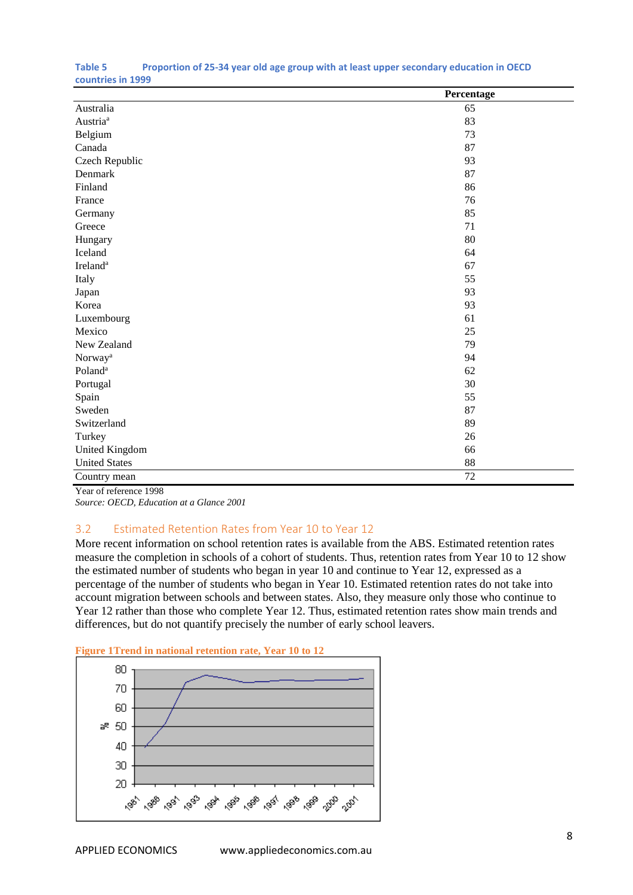|                      | Percentage |
|----------------------|------------|
| Australia            | 65         |
| Austria <sup>a</sup> | 83         |
| Belgium              | 73         |
| Canada               | 87         |
| Czech Republic       | 93         |
| Denmark              | 87         |
| Finland              | 86         |
| France               | 76         |
| Germany              | 85         |
| Greece               | 71         |
| Hungary              | 80         |
| Iceland              | 64         |
| Ireland <sup>a</sup> | 67         |
| Italy                | 55         |
| Japan                | 93         |
| Korea                | 93         |
| Luxembourg           | 61         |
| Mexico               | 25         |
| New Zealand          | 79         |
| Norway <sup>a</sup>  | 94         |
| Poland <sup>a</sup>  | 62         |
| Portugal             | 30         |
| Spain                | 55         |
| Sweden               | 87         |
| Switzerland          | 89         |
| Turkey               | 26         |
| United Kingdom       | 66         |
| <b>United States</b> | $88\,$     |
| Country mean         | 72         |

#### <span id="page-7-1"></span>**Table 5 Proportion of 25-34 year old age group with at least upper secondary education in OECD countries in 1999**

Year of reference 1998 *Source: OECD, Education at a Glance 2001*

# <span id="page-7-0"></span>3.2 Estimated Retention Rates from Year 10 to Year 12

More recent information on school retention rates is available from the ABS. Estimated retention rates measure the completion in schools of a cohort of students. Thus, retention rates from Year 10 to 12 show the estimated number of students who began in year 10 and continue to Year 12, expressed as a percentage of the number of students who began in Year 10. Estimated retention rates do not take into account migration between schools and between states. Also, they measure only those who continue to Year 12 rather than those who complete Year 12. Thus, estimated retention rates show main trends and differences, but do not quantify precisely the number of early school leavers.



#### <span id="page-7-2"></span>**Figure 1Trend in national retention rate, Year 10 to 12**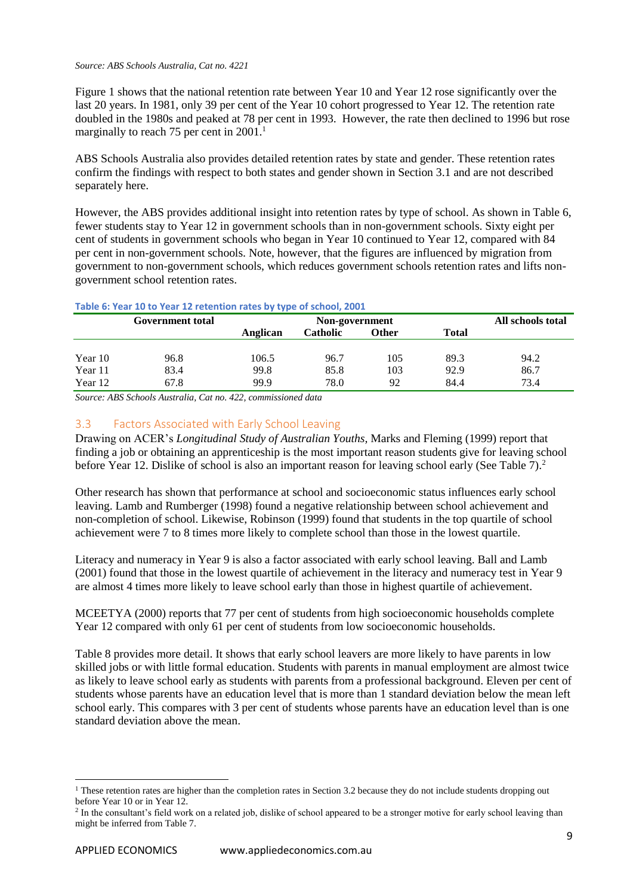#### *Source: ABS Schools Australia, Cat no. 4221*

Figure 1 shows that the national retention rate between Year 10 and Year 12 rose significantly over the last 20 years. In 1981, only 39 per cent of the Year 10 cohort progressed to Year 12. The retention rate doubled in the 1980s and peaked at 78 per cent in 1993. However, the rate then declined to 1996 but rose marginally to reach 75 per cent in  $2001$ .<sup>1</sup>

ABS Schools Australia also provides detailed retention rates by state and gender. These retention rates confirm the findings with respect to both states and gender shown in Section 3.1 and are not described separately here.

However, the ABS provides additional insight into retention rates by type of school. As shown in Table 6, fewer students stay to Year 12 in government schools than in non-government schools. Sixty eight per cent of students in government schools who began in Year 10 continued to Year 12, compared with 84 per cent in non-government schools. Note, however, that the figures are influenced by migration from government to non-government schools, which reduces government schools retention rates and lifts nongovernment school retention rates.

|         | Table 0. Fear 10 to Teal 12 Feterition rates by type of scribbil, 2001 |          |                 |       |              |                   |  |  |
|---------|------------------------------------------------------------------------|----------|-----------------|-------|--------------|-------------------|--|--|
|         | <b>Government total</b>                                                |          | Non-government  |       |              | All schools total |  |  |
|         |                                                                        | Anglican | <b>Catholic</b> | Other | <b>Total</b> |                   |  |  |
| Year 10 | 96.8                                                                   | 106.5    | 96.7            | 105   | 89.3         | 94.2              |  |  |
| Year 11 | 83.4                                                                   | 99.8     | 85.8            | 103   | 92.9         | 86.7              |  |  |
| Year 12 | 67.8                                                                   | 99.9     | 78.0            | 92    | 84.4         | 73.4              |  |  |

#### <span id="page-8-1"></span>**Table 6: Year 10 to Year 12 retention rates by type of school, 2001**

*Source: ABS Schools Australia, Cat no. 422, commissioned data*

### <span id="page-8-0"></span>3.3 Factors Associated with Early School Leaving

Drawing on ACER's *Longitudinal Study of Australian Youths,* Marks and Fleming (1999) report that finding a job or obtaining an apprenticeship is the most important reason students give for leaving school before Year 12. Dislike of school is also an important reason for leaving school early (See Table 7).<sup>2</sup>

Other research has shown that performance at school and socioeconomic status influences early school leaving. Lamb and Rumberger (1998) found a negative relationship between school achievement and non-completion of school. Likewise, Robinson (1999) found that students in the top quartile of school achievement were 7 to 8 times more likely to complete school than those in the lowest quartile.

Literacy and numeracy in Year 9 is also a factor associated with early school leaving. Ball and Lamb (2001) found that those in the lowest quartile of achievement in the literacy and numeracy test in Year 9 are almost 4 times more likely to leave school early than those in highest quartile of achievement.

MCEETYA (2000) reports that 77 per cent of students from high socioeconomic households complete Year 12 compared with only 61 per cent of students from low socioeconomic households.

Table 8 provides more detail. It shows that early school leavers are more likely to have parents in low skilled jobs or with little formal education. Students with parents in manual employment are almost twice as likely to leave school early as students with parents from a professional background. Eleven per cent of students whose parents have an education level that is more than 1 standard deviation below the mean left school early. This compares with 3 per cent of students whose parents have an education level than is one standard deviation above the mean.

-

 $1$  These retention rates are higher than the completion rates in Section 3.2 because they do not include students dropping out before Year 10 or in Year 12.

 $2$  In the consultant's field work on a related job, dislike of school appeared to be a stronger motive for early school leaving than might be inferred from Table 7.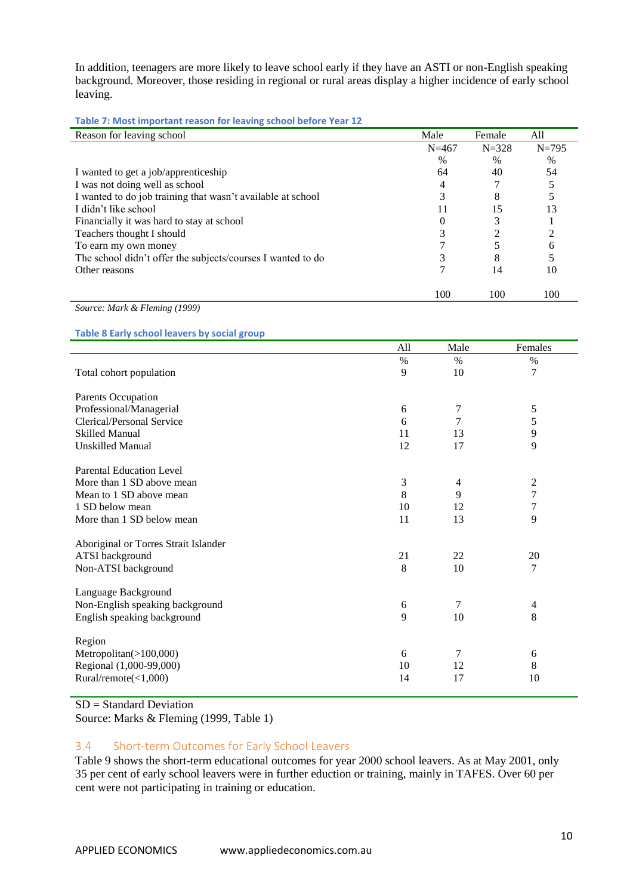In addition, teenagers are more likely to leave school early if they have an ASTI or non-English speaking background. Moreover, those residing in regional or rural areas display a higher incidence of early school leaving.

<span id="page-9-1"></span>**Table 7: Most important reason for leaving school before Year 12**

| Reason for leaving school                                   | Male          | Female    | All       |
|-------------------------------------------------------------|---------------|-----------|-----------|
|                                                             | $N = 467$     | $N = 328$ | $N = 795$ |
|                                                             | $\frac{0}{0}$ | $\%$      | $\%$      |
| I wanted to get a job/apprenticeship                        | 64            | 40        | 54        |
| I was not doing well as school                              | 4             |           |           |
| I wanted to do job training that wasn't available at school | 3             | 8         |           |
| I didn't like school                                        | 11            | 15        |           |
| Financially it was hard to stay at school                   |               | 3         |           |
| Teachers thought I should                                   |               |           |           |
| To earn my own money                                        |               |           | 6         |
| The school didn't offer the subjects/courses I wanted to do |               | 8         |           |
| Other reasons                                               |               | 14        | 10        |
|                                                             | 100           | 100       | 100       |

*Source: Mark & Fleming (1999)*

<span id="page-9-2"></span>**Table 8 Early school leavers by social group**

|                                      | All | Male           | Females        |
|--------------------------------------|-----|----------------|----------------|
|                                      | %   | $\%$           | $\%$           |
| Total cohort population              | 9   | 10             | 7              |
| Parents Occupation                   |     |                |                |
| Professional/Managerial              | 6   | 7              | 5              |
| Clerical/Personal Service            | 6   | 7              | 5              |
| <b>Skilled Manual</b>                | 11  | 13             | 9              |
| <b>Unskilled Manual</b>              | 12  | 17             | 9              |
| <b>Parental Education Level</b>      |     |                |                |
| More than 1 SD above mean            | 3   | $\overline{4}$ | $\overline{c}$ |
| Mean to 1 SD above mean              | 8   | 9              | 7              |
| 1 SD below mean                      | 10  | 12             | $\overline{7}$ |
| More than 1 SD below mean            | 11  | 13             | 9              |
| Aboriginal or Torres Strait Islander |     |                |                |
| ATSI background                      | 21  | 22             | 20             |
| Non-ATSI background                  | 8   | 10             | 7              |
| Language Background                  |     |                |                |
| Non-English speaking background      | 6   | 7              | 4              |
| English speaking background          | 9   | 10             | 8              |
| Region                               |     |                |                |
| Metropolitan $(>100,000)$            | 6   | 7              | 6              |
| Regional (1,000-99,000)              | 10  | 12             | 8              |
| Rural/remote(<1,000)                 | 14  | 17             | 10             |

SD = Standard Deviation

Source: Marks & Fleming (1999, Table 1)

#### <span id="page-9-0"></span>3.4 Short-term Outcomes for Early School Leavers

Table 9 shows the short-term educational outcomes for year 2000 school leavers. As at May 2001, only 35 per cent of early school leavers were in further eduction or training, mainly in TAFES. Over 60 per cent were not participating in training or education.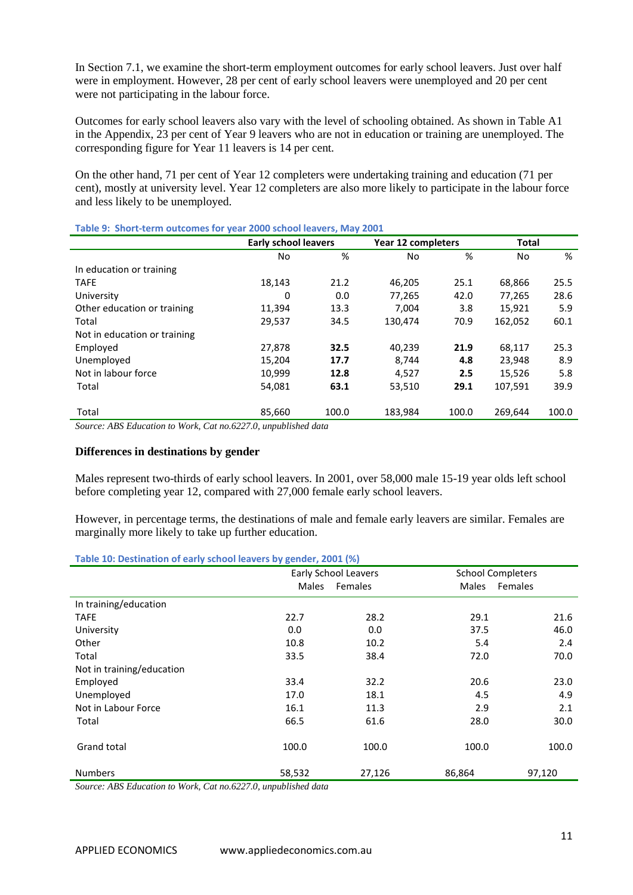In Section 7.1, we examine the short-term employment outcomes for early school leavers. Just over half were in employment. However, 28 per cent of early school leavers were unemployed and 20 per cent were not participating in the labour force.

Outcomes for early school leavers also vary with the level of schooling obtained. As shown in Table A1 in the Appendix, 23 per cent of Year 9 leavers who are not in education or training are unemployed. The corresponding figure for Year 11 leavers is 14 per cent.

On the other hand, 71 per cent of Year 12 completers were undertaking training and education (71 per cent), mostly at university level. Year 12 completers are also more likely to participate in the labour force and less likely to be unemployed.

| <b>Early school leavers</b> |       |         |                                                                          | <b>Total</b>              |       |
|-----------------------------|-------|---------|--------------------------------------------------------------------------|---------------------------|-------|
| No                          | %     | No      | %                                                                        | No                        | %     |
|                             |       |         |                                                                          |                           |       |
| 18,143                      | 21.2  | 46,205  | 25.1                                                                     | 68,866                    | 25.5  |
| 0                           | 0.0   | 77,265  | 42.0                                                                     | 77,265                    | 28.6  |
| 11,394                      | 13.3  | 7.004   | 3.8                                                                      | 15.921                    | 5.9   |
| 29,537                      | 34.5  | 130,474 | 70.9                                                                     | 162,052                   | 60.1  |
|                             |       |         |                                                                          |                           |       |
| 27,878                      | 32.5  | 40,239  | 21.9                                                                     | 68,117                    | 25.3  |
| 15,204                      | 17.7  | 8,744   | 4.8                                                                      | 23,948                    | 8.9   |
| 10,999                      | 12.8  | 4,527   | 2.5                                                                      | 15,526                    | 5.8   |
| 54,081                      | 63.1  | 53,510  | 29.1                                                                     | 107,591                   | 39.9  |
|                             |       |         |                                                                          |                           |       |
| 85,660                      | 100.0 | 183,984 | 100.0                                                                    | 269,644                   | 100.0 |
|                             |       |         | TWAIL 31 SHOTL ICHIN OWNOOHIGS TOT YOUR LOOD SUITOOI ICUTCIS) ITINY LOOL | <b>Year 12 completers</b> |       |

<span id="page-10-0"></span>**Table 9: Short-term outcomes for year 2000 school leavers, May 2001**

*Source: ABS Education to Work, Cat no.6227.0, unpublished data* 

#### **Differences in destinations by gender**

Males represent two-thirds of early school leavers. In 2001, over 58,000 male 15-19 year olds left school before completing year 12, compared with 27,000 female early school leavers.

However, in percentage terms, the destinations of male and female early leavers are similar. Females are marginally more likely to take up further education.

<span id="page-10-1"></span>

| Table 10: Destination of early school leavers by gender, 2001 (%) |  |  |  |  |  |  |  |  |
|-------------------------------------------------------------------|--|--|--|--|--|--|--|--|
|-------------------------------------------------------------------|--|--|--|--|--|--|--|--|

|                           |              | <b>Early School Leavers</b> |              | <b>School Completers</b> |
|---------------------------|--------------|-----------------------------|--------------|--------------------------|
|                           | <b>Males</b> | Females                     | <b>Males</b> | Females                  |
| In training/education     |              |                             |              |                          |
| <b>TAFE</b>               | 22.7         | 28.2                        | 29.1         | 21.6                     |
| University                | 0.0          | 0.0                         | 37.5         | 46.0                     |
| Other                     | 10.8         | 10.2                        | 5.4          | 2.4                      |
| Total                     | 33.5         | 38.4                        | 72.0         | 70.0                     |
| Not in training/education |              |                             |              |                          |
| Employed                  | 33.4         | 32.2                        | 20.6         | 23.0                     |
| Unemployed                | 17.0         | 18.1                        | 4.5          | 4.9                      |
| Not in Labour Force       | 16.1         | 11.3                        | 2.9          | 2.1                      |
| Total                     | 66.5         | 61.6                        | 28.0         | 30.0                     |
| <b>Grand total</b>        | 100.0        | 100.0                       | 100.0        | 100.0                    |
| <b>Numbers</b>            | 58,532       | 27,126                      | 86,864       | 97,120                   |

*Source: ABS Education to Work, Cat no.6227.0, unpublished data*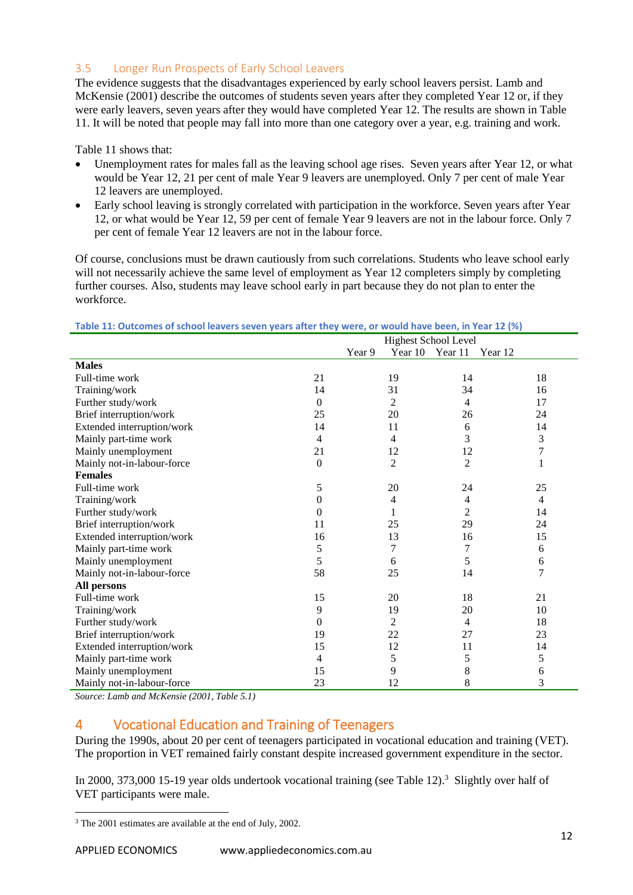# <span id="page-11-0"></span>3.5 Longer Run Prospects of Early School Leavers

The evidence suggests that the disadvantages experienced by early school leavers persist. Lamb and McKensie (2001) describe the outcomes of students seven years after they completed Year 12 or, if they were early leavers, seven years after they would have completed Year 12. The results are shown in Table 11. It will be noted that people may fall into more than one category over a year, e.g. training and work.

Table 11 shows that:

- Unemployment rates for males fall as the leaving school age rises. Seven years after Year 12, or what would be Year 12, 21 per cent of male Year 9 leavers are unemployed. Only 7 per cent of male Year 12 leavers are unemployed.
- Early school leaving is strongly correlated with participation in the workforce. Seven years after Year 12, or what would be Year 12, 59 per cent of female Year 9 leavers are not in the labour force. Only 7 per cent of female Year 12 leavers are not in the labour force.

Of course, conclusions must be drawn cautiously from such correlations. Students who leave school early will not necessarily achieve the same level of employment as Year 12 completers simply by completing further courses. Also, students may leave school early in part because they do not plan to enter the workforce.

<span id="page-11-2"></span>

| Table 11: Outcomes of school leavers seven years after they were, or would have been, in Year 12 (%) |  |  |
|------------------------------------------------------------------------------------------------------|--|--|
|                                                                                                      |  |  |

|                                                | <b>Highest School Level</b> |                |                |  |  |  |  |
|------------------------------------------------|-----------------------------|----------------|----------------|--|--|--|--|
|                                                | Year 9<br>Year 10           | Year 11        | Year 12        |  |  |  |  |
| <b>Males</b>                                   |                             |                |                |  |  |  |  |
| Full-time work<br>21                           | 19                          | 14             | 18             |  |  |  |  |
| Training/work<br>14                            | 31                          | 34             | 16             |  |  |  |  |
| Further study/work<br>0                        | 2                           | 4              | 17             |  |  |  |  |
| Brief interruption/work<br>25                  | 20                          | 26             | 24             |  |  |  |  |
| Extended interruption/work<br>14               | 11                          | 6              | 14             |  |  |  |  |
| Mainly part-time work<br>4                     | 4                           | 3              | 3              |  |  |  |  |
| Mainly unemployment<br>21                      | 12                          | 12             | $\overline{7}$ |  |  |  |  |
| Mainly not-in-labour-force<br>$\boldsymbol{0}$ | $\overline{c}$              | $\overline{2}$ | $\mathbf{1}$   |  |  |  |  |
| <b>Females</b>                                 |                             |                |                |  |  |  |  |
| Full-time work<br>5                            | 20                          | 24             | 25             |  |  |  |  |
| Training/work<br>0                             | 4                           | 4              | 4              |  |  |  |  |
| Further study/work<br>0                        | 1                           | 2              | 14             |  |  |  |  |
| Brief interruption/work<br>11                  | 25                          | 29             | 24             |  |  |  |  |
| Extended interruption/work<br>16               | 13                          | 16             | 15             |  |  |  |  |
| 5<br>Mainly part-time work                     | 7                           | 7              | 6              |  |  |  |  |
| 5<br>Mainly unemployment                       | 6                           | 5              | 6              |  |  |  |  |
| 58<br>Mainly not-in-labour-force               | 25                          | 14             | 7              |  |  |  |  |
| All persons                                    |                             |                |                |  |  |  |  |
| Full-time work<br>15                           | 20                          | 18             | 21             |  |  |  |  |
| Training/work<br>9                             | 19                          | 20             | 10             |  |  |  |  |
| Further study/work<br>0                        | $\overline{c}$              | 4              | 18             |  |  |  |  |
| Brief interruption/work<br>19                  | 22                          | 27             | 23             |  |  |  |  |
| Extended interruption/work<br>15               | 12                          | 11             | 14             |  |  |  |  |
| Mainly part-time work<br>4                     | 5                           | 5              | 5              |  |  |  |  |
| Mainly unemployment<br>15                      | 9                           | 8              | 6              |  |  |  |  |
| 23<br>Mainly not-in-labour-force               | 12                          | 8              | 3              |  |  |  |  |

*Source: Lamb and McKensie (2001, Table 5.1)*

# <span id="page-11-1"></span>4 Vocational Education and Training of Teenagers

During the 1990s, about 20 per cent of teenagers participated in vocational education and training (VET). The proportion in VET remained fairly constant despite increased government expenditure in the sector.

In 2000, 373,000 15-19 year olds undertook vocational training (see Table 12).<sup>3</sup> Slightly over half of VET participants were male.

<sup>1</sup> <sup>3</sup> The 2001 estimates are available at the end of July, 2002.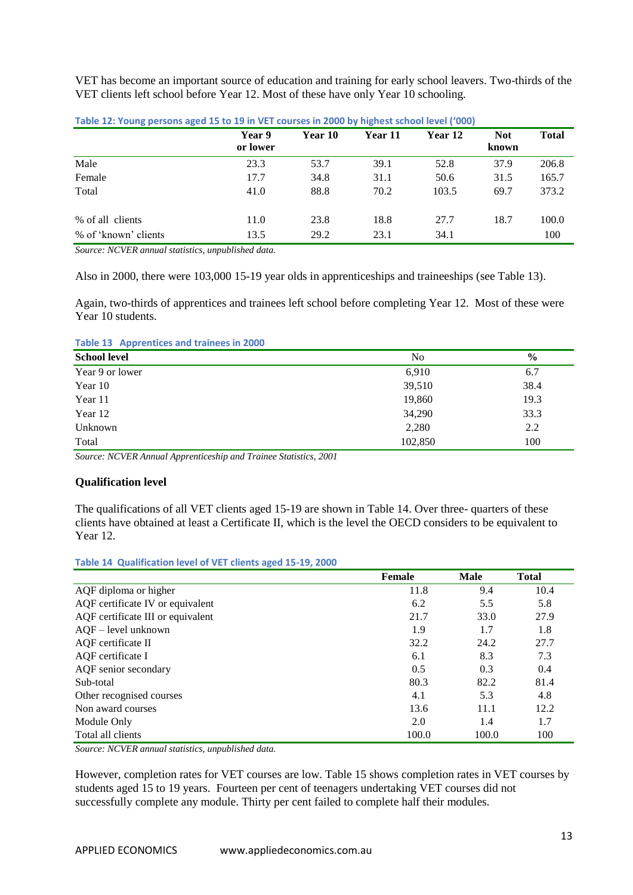VET has become an important source of education and training for early school leavers. Two-thirds of the VET clients left school before Year 12. Most of these have only Year 10 schooling.

|                      | Year 9<br>or lower | Year 10 | Year 11 | Year 12 | <b>Not</b><br>known | <b>Total</b> |
|----------------------|--------------------|---------|---------|---------|---------------------|--------------|
| Male                 | 23.3               | 53.7    | 39.1    | 52.8    | 37.9                | 206.8        |
| Female               | 17.7               | 34.8    | 31.1    | 50.6    | 31.5                | 165.7        |
| Total                | 41.0               | 88.8    | 70.2    | 103.5   | 69.7                | 373.2        |
| % of all clients     | 11.0               | 23.8    | 18.8    | 27.7    | 18.7                | 100.0        |
| % of 'known' clients | 13.5               | 29.2    | 23.1    | 34.1    |                     | 100          |

<span id="page-12-0"></span>**Table 12: Young persons aged 15 to 19 in VET courses in 2000 by highest school level ('000)**

*Source: NCVER annual statistics, unpublished data.*

Also in 2000, there were 103,000 15-19 year olds in apprenticeships and traineeships (see Table 13).

Again, two-thirds of apprentices and trainees left school before completing Year 12. Most of these were Year 10 students.

<span id="page-12-1"></span>**Table 13 Apprentices and trainees in 2000**

| <b>School level</b> | No      | $\frac{6}{9}$ |
|---------------------|---------|---------------|
| Year 9 or lower     | 6,910   | 6.7           |
| Year 10             | 39,510  | 38.4          |
| Year 11             | 19,860  | 19.3          |
| Year 12             | 34,290  | 33.3          |
| Unknown             | 2,280   | 2.2           |
| Total               | 102,850 | 100           |

*Source: NCVER Annual Apprenticeship and Trainee Statistics, 2001*

#### **Qualification level**

The qualifications of all VET clients aged 15-19 are shown in Table 14. Over three- quarters of these clients have obtained at least a Certificate II, which is the level the OECD considers to be equivalent to Year 12.

#### <span id="page-12-2"></span>**Table 14 Qualification level of VET clients aged 15-19, 2000**

|                                   | <b>Female</b> | <b>Male</b> | <b>Total</b> |
|-----------------------------------|---------------|-------------|--------------|
| AQF diploma or higher             | 11.8          | 9.4         | 10.4         |
| AQF certificate IV or equivalent  | 6.2           | 5.5         | 5.8          |
| AQF certificate III or equivalent | 21.7          | 33.0        | 27.9         |
| $AQF - level unknown$             | 1.9           | 1.7         | 1.8          |
| AQF certificate II                | 32.2          | 24.2        | 27.7         |
| AQF certificate I                 | 6.1           | 8.3         | 7.3          |
| AQF senior secondary              | 0.5           | 0.3         | 0.4          |
| Sub-total                         | 80.3          | 82.2        | 81.4         |
| Other recognised courses          | 4.1           | 5.3         | 4.8          |
| Non award courses                 | 13.6          | 11.1        | 12.2         |
| Module Only                       | 2.0           | 1.4         | 1.7          |
| Total all clients                 | 100.0         | 100.0       | 100          |

*Source: NCVER annual statistics, unpublished data.*

However, completion rates for VET courses are low. Table 15 shows completion rates in VET courses by students aged 15 to 19 years. Fourteen per cent of teenagers undertaking VET courses did not successfully complete any module. Thirty per cent failed to complete half their modules.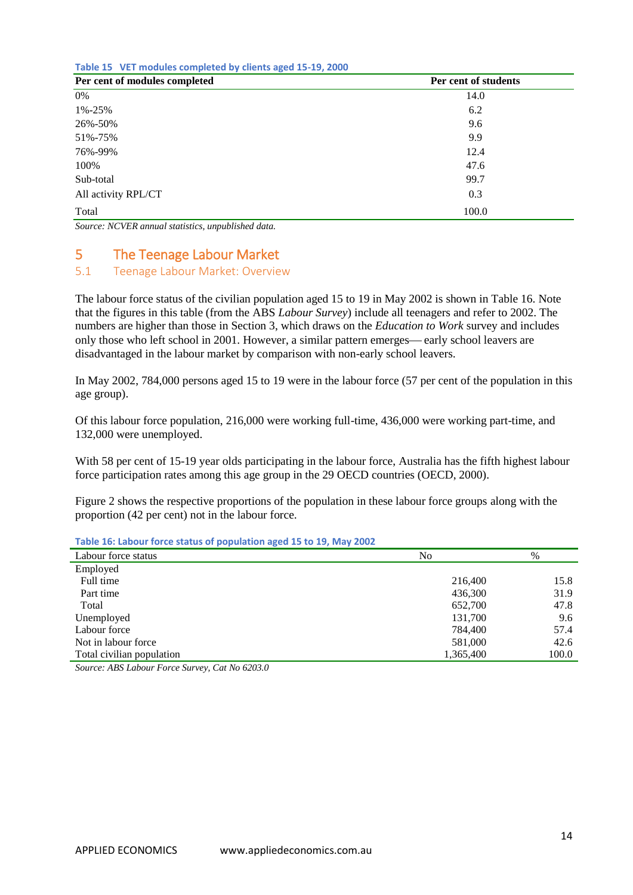<span id="page-13-2"></span>**Table 15 VET modules completed by clients aged 15-19, 2000** 

| Per cent of modules completed | Per cent of students |
|-------------------------------|----------------------|
| 0%                            | 14.0                 |
| 1%-25%                        | 6.2                  |
| 26%-50%                       | 9.6                  |
| 51%-75%                       | 9.9                  |
| 76%-99%                       | 12.4                 |
| 100%                          | 47.6                 |
| Sub-total                     | 99.7                 |
| All activity RPL/CT           | 0.3                  |
| Total                         | 100.0                |

*Source: NCVER annual statistics, unpublished data.*

# <span id="page-13-0"></span>5 The Teenage Labour Market

### <span id="page-13-1"></span>5.1 Teenage Labour Market: Overview

The labour force status of the civilian population aged 15 to 19 in May 2002 is shown in Table 16. Note that the figures in this table (from the ABS *Labour Survey*) include all teenagers and refer to 2002. The numbers are higher than those in Section 3, which draws on the *Education to Work* survey and includes only those who left school in 2001. However, a similar pattern emerges—early school leavers are disadvantaged in the labour market by comparison with non-early school leavers.

In May 2002, 784,000 persons aged 15 to 19 were in the labour force (57 per cent of the population in this age group).

Of this labour force population, 216,000 were working full-time, 436,000 were working part-time, and 132,000 were unemployed.

With 58 per cent of 15-19 year olds participating in the labour force. Australia has the fifth highest labour force participation rates among this age group in the 29 OECD countries (OECD, 2000).

Figure 2 shows the respective proportions of the population in these labour force groups along with the proportion (42 per cent) not in the labour force.

<span id="page-13-3"></span>

| Table 16: Labour force status of population aged 15 to 19, May 2002 |           |       |
|---------------------------------------------------------------------|-----------|-------|
| Labour force status                                                 | No        | %     |
| Employed                                                            |           |       |
| Full time                                                           | 216,400   | 15.8  |
| Part time                                                           | 436,300   | 31.9  |
| Total                                                               | 652,700   | 47.8  |
| Unemployed                                                          | 131,700   | 9.6   |
| Labour force                                                        | 784,400   | 57.4  |
| Not in labour force                                                 | 581,000   | 42.6  |
| Total civilian population                                           | 1,365,400 | 100.0 |

*Source: ABS Labour Force Survey, Cat No 6203.0*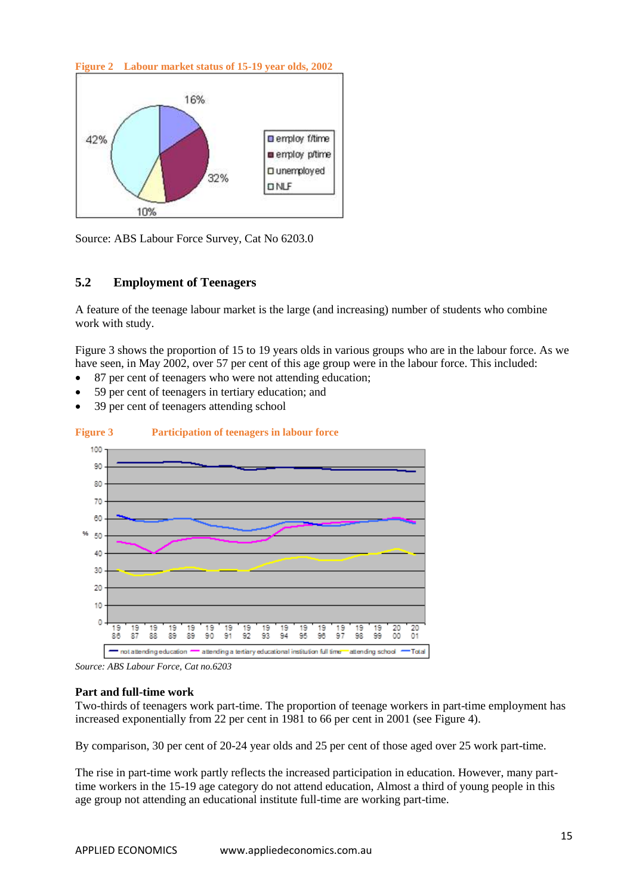<span id="page-14-0"></span>**Figure 2 Labour market status of 15-19 year olds, 2002**



Source: ABS Labour Force Survey, Cat No 6203.0

# **5.2 Employment of Teenagers**

A feature of the teenage labour market is the large (and increasing) number of students who combine work with study.

Figure 3 shows the proportion of 15 to 19 years olds in various groups who are in the labour force. As we have seen, in May 2002, over 57 per cent of this age group were in the labour force. This included:

- 87 per cent of teenagers who were not attending education;
- 59 per cent of teenagers in tertiary education; and
- 39 per cent of teenagers attending school



#### <span id="page-14-1"></span>**Figure 3 Participation of teenagers in labour force**

*Source: ABS Labour Force, Cat no.6203* 

#### **Part and full-time work**

Two-thirds of teenagers work part-time. The proportion of teenage workers in part-time employment has increased exponentially from 22 per cent in 1981 to 66 per cent in 2001 (see Figure 4).

By comparison, 30 per cent of 20-24 year olds and 25 per cent of those aged over 25 work part-time.

The rise in part-time work partly reflects the increased participation in education. However, many parttime workers in the 15-19 age category do not attend education, Almost a third of young people in this age group not attending an educational institute full-time are working part-time.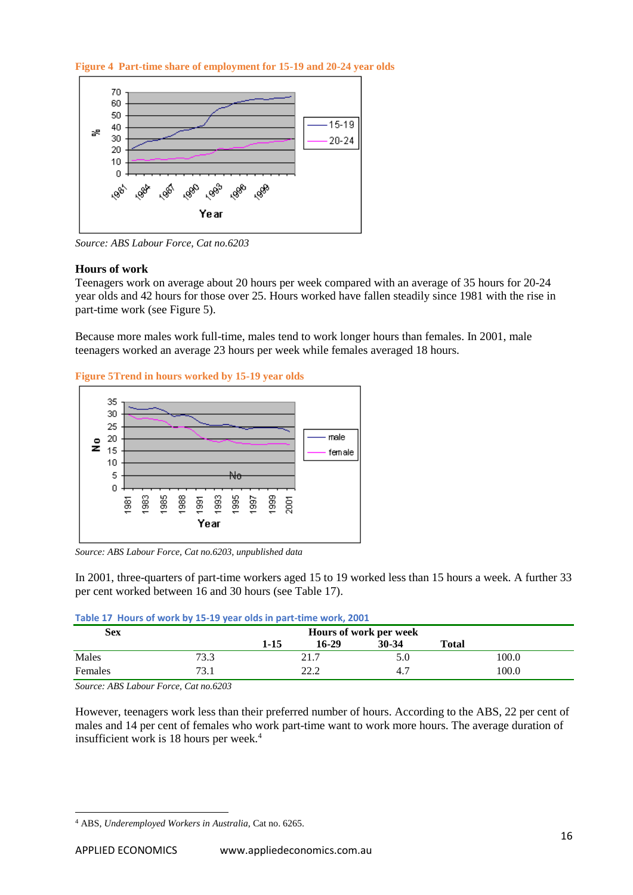<span id="page-15-1"></span>**Figure 4 Part-time share of employment for 15-19 and 20-24 year olds**



*Source: ABS Labour Force, Cat no.6203*

#### **Hours of work**

Teenagers work on average about 20 hours per week compared with an average of 35 hours for 20-24 year olds and 42 hours for those over 25. Hours worked have fallen steadily since 1981 with the rise in part-time work (see Figure 5).

Because more males work full-time, males tend to work longer hours than females. In 2001, male teenagers worked an average 23 hours per week while females averaged 18 hours.

<span id="page-15-2"></span>**Figure 5Trend in hours worked by 15-19 year olds** 



*Source: ABS Labour Force, Cat no.6203, unpublished data*

In 2001, three-quarters of part-time workers aged 15 to 19 worked less than 15 hours a week. A further 33 per cent worked between 16 and 30 hours (see Table 17).

<span id="page-15-0"></span>

|  |  |  |  |  |  | Table 17 Hours of work by 15-19 year olds in part-time work, 2001 |  |  |
|--|--|--|--|--|--|-------------------------------------------------------------------|--|--|
|--|--|--|--|--|--|-------------------------------------------------------------------|--|--|

| <b>Sex</b> |             | Hours of work per week |       |           |              |       |  |  |
|------------|-------------|------------------------|-------|-----------|--------------|-------|--|--|
|            |             | $1 - 15$               | 16-29 | $30 - 34$ | <b>Total</b> |       |  |  |
| Males      | 73.3        |                        | 21.7  |           |              | 100.0 |  |  |
| Females    | 73 1<br>۰.۱ | າາ າ                   |       | -4.7      |              | 100.0 |  |  |

*Source: ABS Labour Force, Cat no.6203*

However, teenagers work less than their preferred number of hours. According to the ABS, 22 per cent of males and 14 per cent of females who work part-time want to work more hours. The average duration of insufficient work is 18 hours per week.<sup>4</sup>

1

<sup>4</sup> ABS, *Underemployed Workers in Australia*, Cat no. 6265.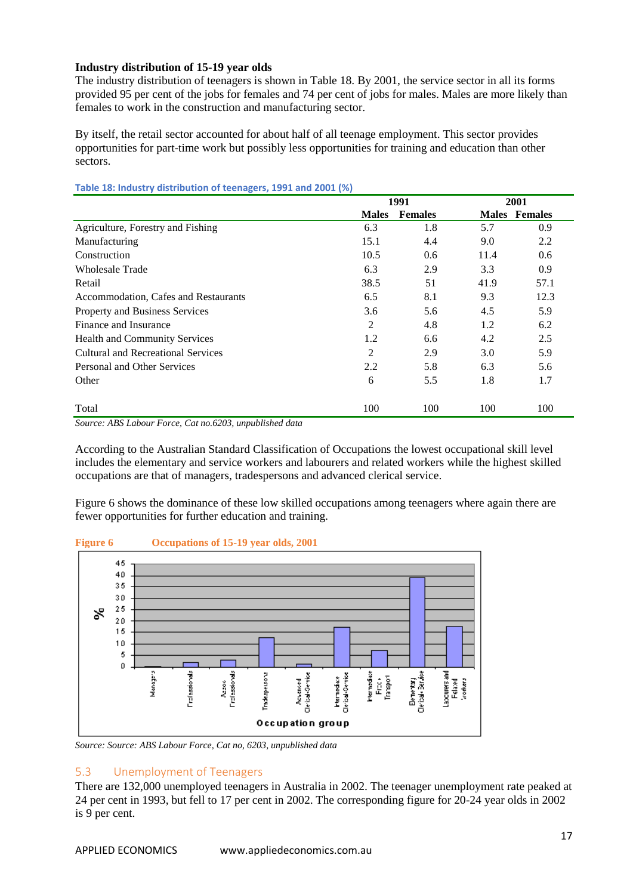#### **Industry distribution of 15-19 year olds**

The industry distribution of teenagers is shown in Table 18. By 2001, the service sector in all its forms provided 95 per cent of the jobs for females and 74 per cent of jobs for males. Males are more likely than females to work in the construction and manufacturing sector.

By itself, the retail sector accounted for about half of all teenage employment. This sector provides opportunities for part-time work but possibly less opportunities for training and education than other sectors.

|                                      | 1991         |                | 2001 |                      |
|--------------------------------------|--------------|----------------|------|----------------------|
|                                      | <b>Males</b> | <b>Females</b> |      | <b>Males</b> Females |
| Agriculture, Forestry and Fishing    | 6.3          | 1.8            | 5.7  | 0.9                  |
| Manufacturing                        | 15.1         | 4.4            | 9.0  | 2.2                  |
| Construction                         | 10.5         | $0.6^{\circ}$  | 11.4 | 0.6                  |
| Wholesale Trade                      | 6.3          | 2.9            | 3.3  | 0.9                  |
| Retail                               | 38.5         | 51             | 41.9 | 57.1                 |
| Accommodation, Cafes and Restaurants | 6.5          | 8.1            | 9.3  | 12.3                 |
| Property and Business Services       | 3.6          | 5.6            | 4.5  | 5.9                  |
| Finance and Insurance                | 2            | 4.8            | 1.2  | 6.2                  |
| <b>Health and Community Services</b> | 1.2          | 6.6            | 4.2  | 2.5                  |
| Cultural and Recreational Services   | 2            | 2.9            | 3.0  | 5.9                  |
| Personal and Other Services          | 2.2          | 5.8            | 6.3  | 5.6                  |
| Other                                | 6            | 5.5            | 1.8  | 1.7                  |
| Total                                | 100          | 100            | 100  | 100                  |

<span id="page-16-1"></span>**Table 18: Industry distribution of teenagers, 1991 and 2001 (%)**

According to the Australian Standard Classification of Occupations the lowest occupational skill level includes the elementary and service workers and labourers and related workers while the highest skilled occupations are that of managers, tradespersons and advanced clerical service.

Figure 6 shows the dominance of these low skilled occupations among teenagers where again there are fewer opportunities for further education and training.



# <span id="page-16-2"></span>**Figure 6 Occupations of 15-19 year olds, 2001**

*Source: Source: ABS Labour Force, Cat no, 6203, unpublished data*

### <span id="page-16-0"></span>5.3 Unemployment of Teenagers

There are 132,000 unemployed teenagers in Australia in 2002. The teenager unemployment rate peaked at 24 per cent in 1993, but fell to 17 per cent in 2002. The corresponding figure for 20-24 year olds in 2002 is 9 per cent.

*Source: ABS Labour Force, Cat no.6203, unpublished data*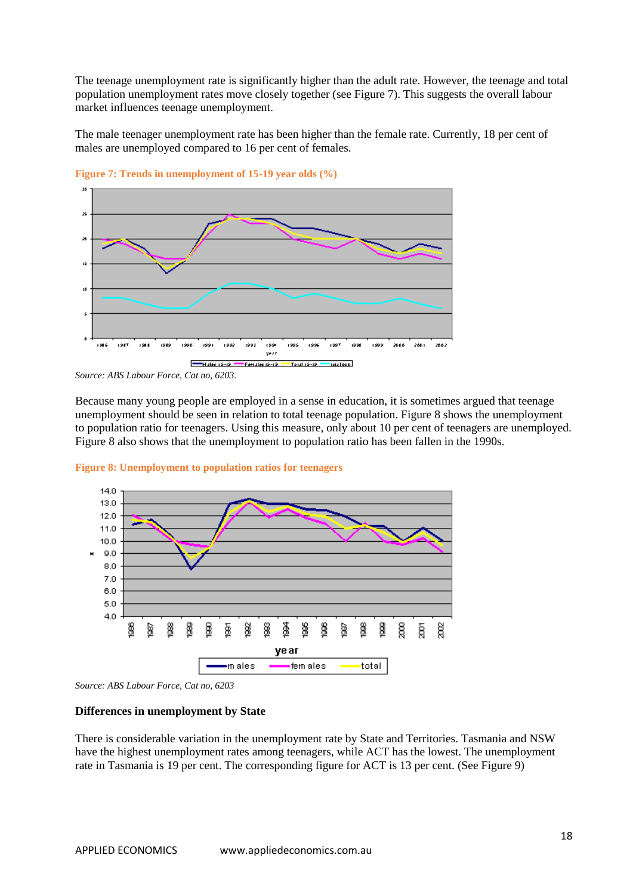The teenage unemployment rate is significantly higher than the adult rate. However, the teenage and total population unemployment rates move closely together (see Figure 7). This suggests the overall labour market influences teenage unemployment.

The male teenager unemployment rate has been higher than the female rate. Currently, 18 per cent of males are unemployed compared to 16 per cent of females.



<span id="page-17-0"></span>**Figure 7: Trends in unemployment of 15-19 year olds (%)**

Because many young people are employed in a sense in education, it is sometimes argued that teenage unemployment should be seen in relation to total teenage population. Figure 8 shows the unemployment to population ratio for teenagers. Using this measure, only about 10 per cent of teenagers are unemployed. Figure 8 also shows that the unemployment to population ratio has been fallen in the 1990s.



<span id="page-17-1"></span>

#### **Differences in unemployment by State**

There is considerable variation in the unemployment rate by State and Territories. Tasmania and NSW have the highest unemployment rates among teenagers, while ACT has the lowest. The unemployment rate in Tasmania is 19 per cent. The corresponding figure for ACT is 13 per cent. (See Figure 9)

*Source: ABS Labour Force, Cat no, 6203.*

*Source: ABS Labour Force, Cat no, 6203*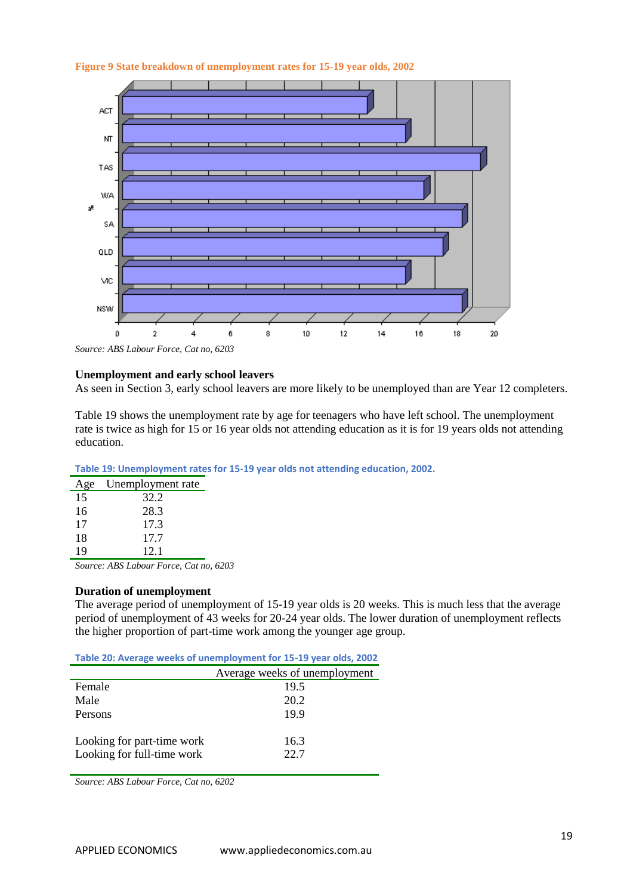<span id="page-18-2"></span>



*Source: ABS Labour Force, Cat no, 6203*

### **Unemployment and early school leavers**

As seen in Section 3, early school leavers are more likely to be unemployed than are Year 12 completers.

Table 19 shows the unemployment rate by age for teenagers who have left school. The unemployment rate is twice as high for 15 or 16 year olds not attending education as it is for 19 years olds not attending education.

<span id="page-18-0"></span>

| Unemployment rate |
|-------------------|
| 32.2              |
| 28.3              |
| 17.3              |
| 17.7              |
| 12.1              |
|                   |

*Source: ABS Labour Force, Cat no, 6203*

#### **Duration of unemployment**

The average period of unemployment of 15-19 year olds is 20 weeks. This is much less that the average period of unemployment of 43 weeks for 20-24 year olds. The lower duration of unemployment reflects the higher proportion of part-time work among the younger age group.

<span id="page-18-1"></span>**Table 20: Average weeks of unemployment for 15-19 year olds, 2002**

|                            | Average weeks of unemployment |
|----------------------------|-------------------------------|
| Female                     | 19.5                          |
| Male                       | 20.2                          |
| Persons                    | 19.9                          |
|                            |                               |
| Looking for part-time work | 16.3                          |
| Looking for full-time work | 22.7                          |
|                            |                               |

*Source: ABS Labour Force, Cat no, 6202*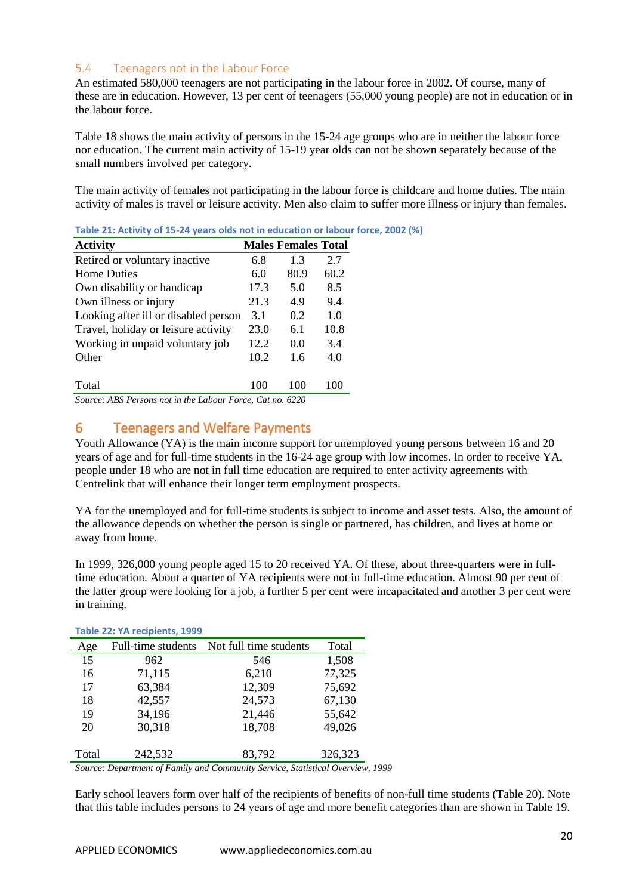### <span id="page-19-0"></span>5.4 Teenagers not in the Labour Force

An estimated 580,000 teenagers are not participating in the labour force in 2002. Of course, many of these are in education. However, 13 per cent of teenagers (55,000 young people) are not in education or in the labour force.

Table 18 shows the main activity of persons in the 15-24 age groups who are in neither the labour force nor education. The current main activity of 15-19 year olds can not be shown separately because of the small numbers involved per category.

The main activity of females not participating in the labour force is childcare and home duties. The main activity of males is travel or leisure activity. Men also claim to suffer more illness or injury than females.

| <b>Activity</b>                                           |      | <b>Males Females Total</b> |      |
|-----------------------------------------------------------|------|----------------------------|------|
| Retired or voluntary inactive                             | 6.8  | 1.3                        | 2.7  |
| <b>Home Duties</b>                                        | 6.0  | 80.9                       | 60.2 |
| Own disability or handicap                                | 17.3 | 5.0                        | 8.5  |
| Own illness or injury                                     | 21.3 | 4.9                        | 9.4  |
| Looking after ill or disabled person                      | 3.1  | 0.2                        | 1.0  |
| Travel, holiday or leisure activity                       | 23.0 | 6.1                        | 10.8 |
| Working in unpaid voluntary job                           | 12.2 | 0.0                        | 3.4  |
| Other                                                     | 10.2 | 1.6                        | 4.0  |
| Total                                                     | 100  | 100                        | 100  |
| Source: ARS Persons not in the Labour Force, Cat no. 6220 |      |                            |      |

<span id="page-19-2"></span>**Table 21: Activity of 15-24 years olds not in education or labour force, 2002 (%)**

*Source: ABS Persons not in the Labour Force, Cat no. 6220*

# <span id="page-19-1"></span>6 Teenagers and Welfare Payments

Youth Allowance (YA) is the main income support for unemployed young persons between 16 and 20 years of age and for full-time students in the 16-24 age group with low incomes. In order to receive YA, people under 18 who are not in full time education are required to enter activity agreements with Centrelink that will enhance their longer term employment prospects.

YA for the unemployed and for full-time students is subject to income and asset tests. Also, the amount of the allowance depends on whether the person is single or partnered, has children, and lives at home or away from home.

In 1999, 326,000 young people aged 15 to 20 received YA. Of these, about three-quarters were in fulltime education. About a quarter of YA recipients were not in full-time education. Almost 90 per cent of the latter group were looking for a job, a further 5 per cent were incapacitated and another 3 per cent were in training.

|       | Table $22.171$ ecipients, $1333$ |                        |         |
|-------|----------------------------------|------------------------|---------|
| Age   | Full-time students               | Not full time students | Total   |
| 15    | 962                              | 546                    | 1,508   |
| 16    | 71,115                           | 6,210                  | 77,325  |
| 17    | 63,384                           | 12,309                 | 75,692  |
| 18    | 42,557                           | 24,573                 | 67,130  |
| 19    | 34,196                           | 21,446                 | 55,642  |
| 20    | 30,318                           | 18,708                 | 49,026  |
|       |                                  |                        |         |
| Total | 242,532                          | 83,792                 | 326,323 |

#### <span id="page-19-3"></span>Table 22: YA recipients, 1999

*Source: Department of Family and Community Service, Statistical Overview, 1999*

Early school leavers form over half of the recipients of benefits of non-full time students (Table 20). Note that this table includes persons to 24 years of age and more benefit categories than are shown in Table 19.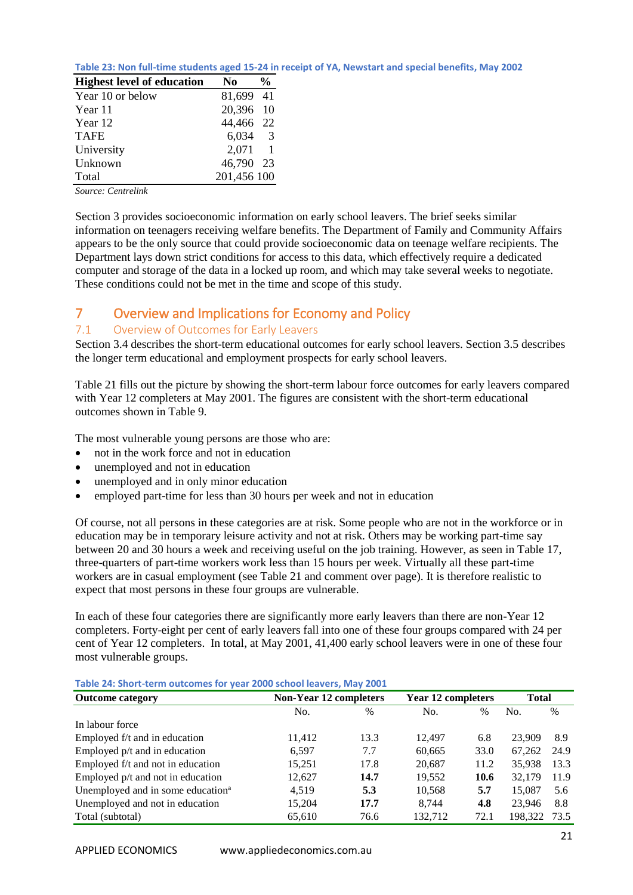<span id="page-20-2"></span>

| Table 23: Non full-time students aged 15-24 in receipt of YA, Newstart and special benefits, May 2002 |  |  |  |
|-------------------------------------------------------------------------------------------------------|--|--|--|
|-------------------------------------------------------------------------------------------------------|--|--|--|

| <b>Highest level of education</b> | N0              | % |
|-----------------------------------|-----------------|---|
| Year 10 or below                  | 81,699 41       |   |
| Year 11                           | 20,396 10       |   |
| Year 12                           | 44,466 22       |   |
| <b>TAFE</b>                       | $6,034$ 3       |   |
| University                        | $2,071 \quad 1$ |   |
| Unknown                           | 46,790 23       |   |
| Total                             | 201,456 100     |   |

*Source: Centrelink*

Section 3 provides socioeconomic information on early school leavers. The brief seeks similar information on teenagers receiving welfare benefits. The Department of Family and Community Affairs appears to be the only source that could provide socioeconomic data on teenage welfare recipients. The Department lays down strict conditions for access to this data, which effectively require a dedicated computer and storage of the data in a locked up room, and which may take several weeks to negotiate. These conditions could not be met in the time and scope of this study.

# <span id="page-20-0"></span>7 Overview and Implications for Economy and Policy

### <span id="page-20-1"></span>7.1 Overview of Outcomes for Early Leavers

Section 3.4 describes the short-term educational outcomes for early school leavers. Section 3.5 describes the longer term educational and employment prospects for early school leavers.

Table 21 fills out the picture by showing the short-term labour force outcomes for early leavers compared with Year 12 completers at May 2001. The figures are consistent with the short-term educational outcomes shown in Table 9.

The most vulnerable young persons are those who are:

- not in the work force and not in education
- unemployed and not in education
- unemployed and in only minor education
- employed part-time for less than 30 hours per week and not in education

Of course, not all persons in these categories are at risk. Some people who are not in the workforce or in education may be in temporary leisure activity and not at risk. Others may be working part-time say between 20 and 30 hours a week and receiving useful on the job training. However, as seen in Table 17, three-quarters of part-time workers work less than 15 hours per week. Virtually all these part-time workers are in casual employment (see Table 21 and comment over page). It is therefore realistic to expect that most persons in these four groups are vulnerable.

In each of these four categories there are significantly more early leavers than there are non-Year 12 completers. Forty-eight per cent of early leavers fall into one of these four groups compared with 24 per cent of Year 12 completers. In total, at May 2001, 41,400 early school leavers were in one of these four most vulnerable groups.

<span id="page-20-3"></span>**Table 24: Short-term outcomes for year 2000 school leavers, May 2001**

| <b>Non-Year 12 completers</b> |      | <b>Year 12 completers</b> |      | <b>Total</b> |      |  |  |
|-------------------------------|------|---------------------------|------|--------------|------|--|--|
| No.                           | $\%$ | No.                       | $\%$ | No.          | $\%$ |  |  |
|                               |      |                           |      |              |      |  |  |
| 11,412                        | 13.3 | 12.497                    | 6.8  | 23,909       | 8.9  |  |  |
| 6,597                         | 7.7  | 60,665                    | 33.0 | 67.262       | 24.9 |  |  |
| 15,251                        | 17.8 | 20.687                    | 11.2 | 35,938       | 13.3 |  |  |
| 12,627                        | 14.7 | 19.552                    | 10.6 | 32,179       | 11.9 |  |  |
| 4,519                         | 5.3  | 10,568                    | 5.7  | 15,087       | 5.6  |  |  |
| 15,204                        | 17.7 | 8.744                     | 4.8  | 23.946       | 8.8  |  |  |
| 65.610                        | 76.6 | 132.712                   | 72.1 | 198.322      | 73.5 |  |  |
|                               |      |                           |      |              |      |  |  |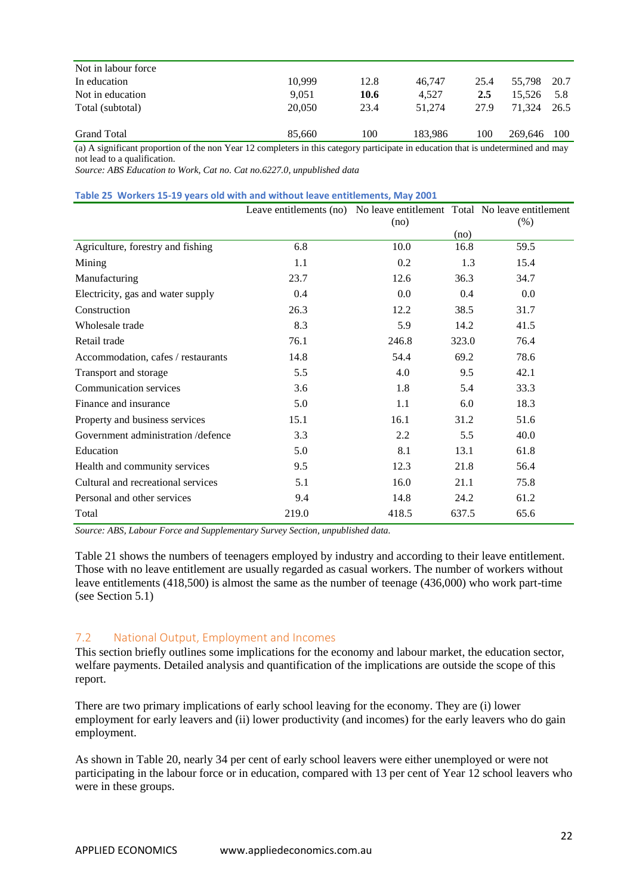| Not in labour force                                                                                                                                                                                                                                                                                                  |        |      |         |      |             |       |
|----------------------------------------------------------------------------------------------------------------------------------------------------------------------------------------------------------------------------------------------------------------------------------------------------------------------|--------|------|---------|------|-------------|-------|
| In education                                                                                                                                                                                                                                                                                                         | 10.999 | 12.8 | 46.747  | 25.4 | 55.798 20.7 |       |
| Not in education                                                                                                                                                                                                                                                                                                     | 9.051  | 10.6 | 4.527   | 2.5  | 15.526      | 5.8   |
| Total (subtotal)                                                                                                                                                                                                                                                                                                     | 20,050 | 23.4 | 51.274  | 27.9 | 71.324      | 26.5  |
| <b>Grand Total</b>                                                                                                                                                                                                                                                                                                   | 85,660 | 100  | 183.986 | 100  | 269,646     | - 100 |
| $\mathcal{L} \setminus \mathcal{A}$ , the set of $\mathcal{L} = \{ \mathcal{L} \}$ , and the set of the set of the set of $\mathcal{L} = \{ \mathcal{L} \}$ , and the set of $\mathcal{L} = \{ \mathcal{L} \}$ , and the set of $\mathcal{L} = \{ \mathcal{L} \}$ , and the set of $\mathcal{L} = \{ \mathcal{L} \}$ |        |      |         |      |             |       |

(a) A significant proportion of the non Year 12 completers in this category participate in education that is undetermined and may not lead to a qualification.

*Source: ABS Education to Work, Cat no. Cat no.6227.0, unpublished data*

<span id="page-21-1"></span>

|  |  | Table 25 Workers 15-19 years old with and without leave entitlements, May 2001 |  |  |  |
|--|--|--------------------------------------------------------------------------------|--|--|--|
|--|--|--------------------------------------------------------------------------------|--|--|--|

|                                    | Leave entitlements (no) No leave entitlement Total No leave entitlement |       |       |         |
|------------------------------------|-------------------------------------------------------------------------|-------|-------|---------|
|                                    |                                                                         | (no)  |       | (% )    |
|                                    |                                                                         |       | (no)  |         |
| Agriculture, forestry and fishing  | 6.8                                                                     | 10.0  | 16.8  | 59.5    |
| Mining                             | 1.1                                                                     | 0.2   | 1.3   | 15.4    |
| Manufacturing                      | 23.7                                                                    | 12.6  | 36.3  | 34.7    |
| Electricity, gas and water supply  | 0.4                                                                     | 0.0   | 0.4   | $0.0\,$ |
| Construction                       | 26.3                                                                    | 12.2  | 38.5  | 31.7    |
| Wholesale trade                    | 8.3                                                                     | 5.9   | 14.2  | 41.5    |
| Retail trade                       | 76.1                                                                    | 246.8 | 323.0 | 76.4    |
| Accommodation, cafes / restaurants | 14.8                                                                    | 54.4  | 69.2  | 78.6    |
| Transport and storage              | 5.5                                                                     | 4.0   | 9.5   | 42.1    |
| Communication services             | 3.6                                                                     | 1.8   | 5.4   | 33.3    |
| Finance and insurance              | 5.0                                                                     | 1.1   | 6.0   | 18.3    |
| Property and business services     | 15.1                                                                    | 16.1  | 31.2  | 51.6    |
| Government administration/defence  | 3.3                                                                     | 2.2   | 5.5   | 40.0    |
| Education                          | 5.0                                                                     | 8.1   | 13.1  | 61.8    |
| Health and community services      | 9.5                                                                     | 12.3  | 21.8  | 56.4    |
| Cultural and recreational services | 5.1                                                                     | 16.0  | 21.1  | 75.8    |
| Personal and other services        | 9.4                                                                     | 14.8  | 24.2  | 61.2    |
| Total                              | 219.0                                                                   | 418.5 | 637.5 | 65.6    |

*Source: ABS, Labour Force and Supplementary Survey Section, unpublished data.*

Table 21 shows the numbers of teenagers employed by industry and according to their leave entitlement. Those with no leave entitlement are usually regarded as casual workers. The number of workers without leave entitlements (418,500) is almost the same as the number of teenage (436,000) who work part-time (see Section 5.1)

#### <span id="page-21-0"></span>7.2 National Output, Employment and Incomes

This section briefly outlines some implications for the economy and labour market, the education sector, welfare payments. Detailed analysis and quantification of the implications are outside the scope of this report.

There are two primary implications of early school leaving for the economy. They are (i) lower employment for early leavers and (ii) lower productivity (and incomes) for the early leavers who do gain employment.

As shown in Table 20, nearly 34 per cent of early school leavers were either unemployed or were not participating in the labour force or in education, compared with 13 per cent of Year 12 school leavers who were in these groups.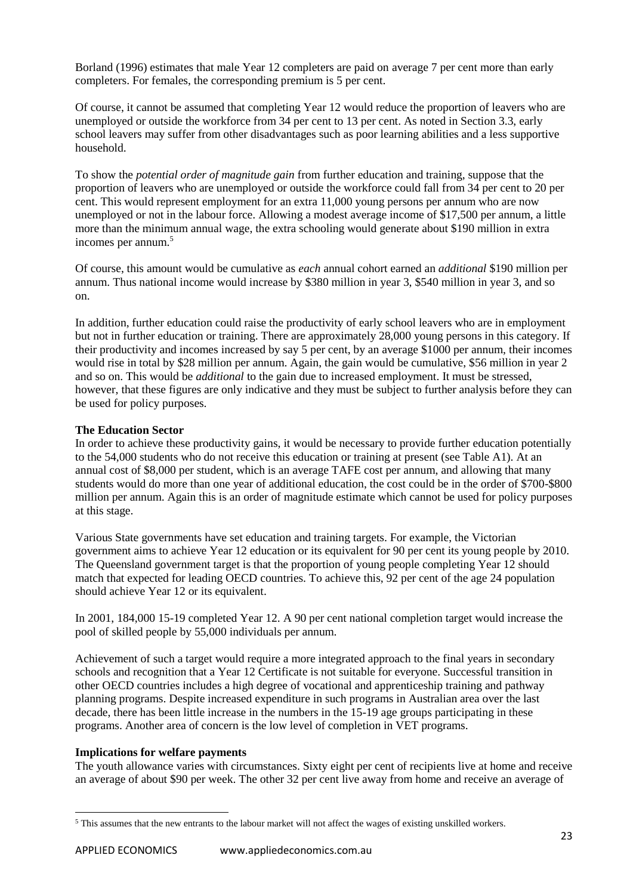Borland (1996) estimates that male Year 12 completers are paid on average 7 per cent more than early completers. For females, the corresponding premium is 5 per cent.

Of course, it cannot be assumed that completing Year 12 would reduce the proportion of leavers who are unemployed or outside the workforce from 34 per cent to 13 per cent. As noted in Section 3.3, early school leavers may suffer from other disadvantages such as poor learning abilities and a less supportive household.

To show the *potential order of magnitude gain* from further education and training, suppose that the proportion of leavers who are unemployed or outside the workforce could fall from 34 per cent to 20 per cent. This would represent employment for an extra 11,000 young persons per annum who are now unemployed or not in the labour force. Allowing a modest average income of \$17,500 per annum, a little more than the minimum annual wage, the extra schooling would generate about \$190 million in extra incomes per annum.<sup>5</sup>

Of course, this amount would be cumulative as *each* annual cohort earned an *additional* \$190 million per annum. Thus national income would increase by \$380 million in year 3, \$540 million in year 3, and so on.

In addition, further education could raise the productivity of early school leavers who are in employment but not in further education or training. There are approximately 28,000 young persons in this category. If their productivity and incomes increased by say 5 per cent, by an average \$1000 per annum, their incomes would rise in total by \$28 million per annum. Again, the gain would be cumulative, \$56 million in year 2 and so on. This would be *additional* to the gain due to increased employment. It must be stressed, however, that these figures are only indicative and they must be subject to further analysis before they can be used for policy purposes.

### **The Education Sector**

In order to achieve these productivity gains, it would be necessary to provide further education potentially to the 54,000 students who do not receive this education or training at present (see Table A1). At an annual cost of \$8,000 per student, which is an average TAFE cost per annum, and allowing that many students would do more than one year of additional education, the cost could be in the order of \$700-\$800 million per annum. Again this is an order of magnitude estimate which cannot be used for policy purposes at this stage.

Various State governments have set education and training targets. For example, the Victorian government aims to achieve Year 12 education or its equivalent for 90 per cent its young people by 2010. The Queensland government target is that the proportion of young people completing Year 12 should match that expected for leading OECD countries. To achieve this, 92 per cent of the age 24 population should achieve Year 12 or its equivalent.

In 2001, 184,000 15-19 completed Year 12. A 90 per cent national completion target would increase the pool of skilled people by 55,000 individuals per annum.

Achievement of such a target would require a more integrated approach to the final years in secondary schools and recognition that a Year 12 Certificate is not suitable for everyone. Successful transition in other OECD countries includes a high degree of vocational and apprenticeship training and pathway planning programs. Despite increased expenditure in such programs in Australian area over the last decade, there has been little increase in the numbers in the 15-19 age groups participating in these programs. Another area of concern is the low level of completion in VET programs.

#### **Implications for welfare payments**

The youth allowance varies with circumstances. Sixty eight per cent of recipients live at home and receive an average of about \$90 per week. The other 32 per cent live away from home and receive an average of

<sup>1</sup> <sup>5</sup> This assumes that the new entrants to the labour market will not affect the wages of existing unskilled workers.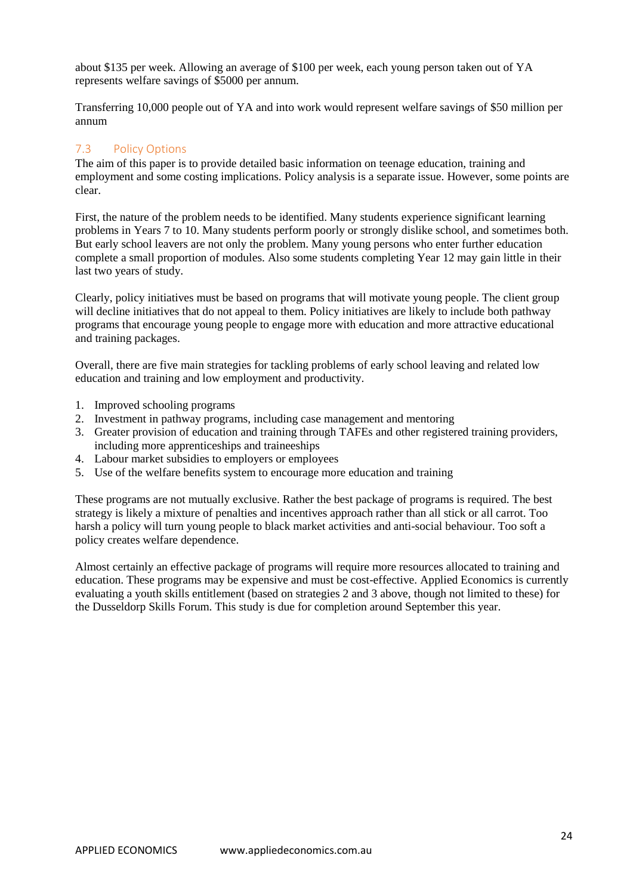about \$135 per week. Allowing an average of \$100 per week, each young person taken out of YA represents welfare savings of \$5000 per annum.

Transferring 10,000 people out of YA and into work would represent welfare savings of \$50 million per annum

### <span id="page-23-0"></span>7.3 Policy Options

The aim of this paper is to provide detailed basic information on teenage education, training and employment and some costing implications. Policy analysis is a separate issue. However, some points are clear.

First, the nature of the problem needs to be identified. Many students experience significant learning problems in Years 7 to 10. Many students perform poorly or strongly dislike school, and sometimes both. But early school leavers are not only the problem. Many young persons who enter further education complete a small proportion of modules. Also some students completing Year 12 may gain little in their last two years of study.

Clearly, policy initiatives must be based on programs that will motivate young people. The client group will decline initiatives that do not appeal to them. Policy initiatives are likely to include both pathway programs that encourage young people to engage more with education and more attractive educational and training packages.

Overall, there are five main strategies for tackling problems of early school leaving and related low education and training and low employment and productivity.

- 1. Improved schooling programs
- 2. Investment in pathway programs, including case management and mentoring
- 3. Greater provision of education and training through TAFEs and other registered training providers, including more apprenticeships and traineeships
- 4. Labour market subsidies to employers or employees
- 5. Use of the welfare benefits system to encourage more education and training

These programs are not mutually exclusive. Rather the best package of programs is required. The best strategy is likely a mixture of penalties and incentives approach rather than all stick or all carrot. Too harsh a policy will turn young people to black market activities and anti-social behaviour. Too soft a policy creates welfare dependence.

Almost certainly an effective package of programs will require more resources allocated to training and education. These programs may be expensive and must be cost-effective. Applied Economics is currently evaluating a youth skills entitlement (based on strategies 2 and 3 above, though not limited to these) for the Dusseldorp Skills Forum. This study is due for completion around September this year.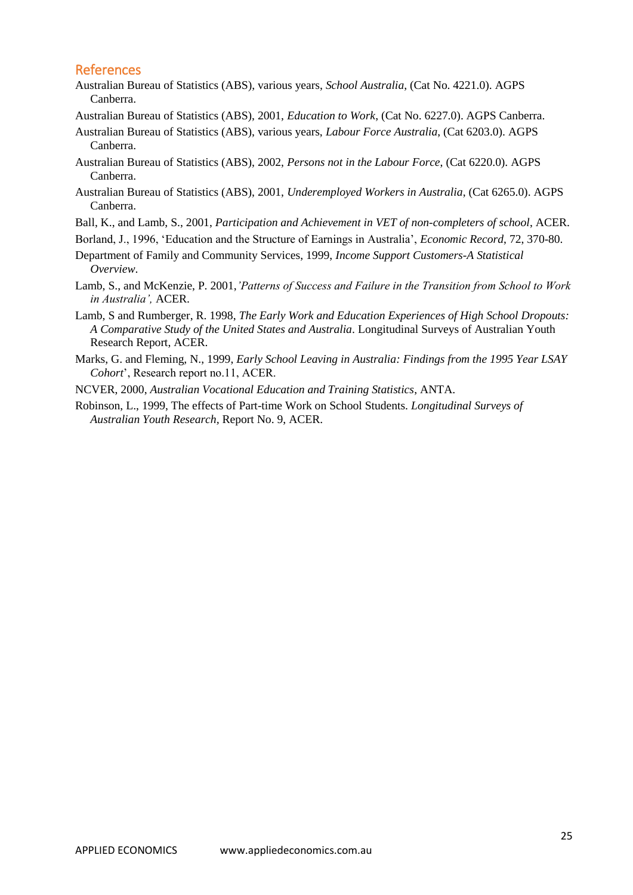# <span id="page-24-0"></span>References

- Australian Bureau of Statistics (ABS), various years, *School Australia*, (Cat No. 4221.0). AGPS Canberra.
- Australian Bureau of Statistics (ABS), 2001, *Education to Work*, (Cat No. 6227.0). AGPS Canberra.
- Australian Bureau of Statistics (ABS), various years, *Labour Force Australia*, (Cat 6203.0). AGPS Canberra.
- Australian Bureau of Statistics (ABS), 2002, *Persons not in the Labour Force*, (Cat 6220.0). AGPS Canberra.
- Australian Bureau of Statistics (ABS), 2001, *Underemployed Workers in Australia*, (Cat 6265.0). AGPS Canberra.
- Ball, K., and Lamb, S., 2001, *Participation and Achievement in VET of non-completers of school*, ACER.
- Borland, J., 1996, 'Education and the Structure of Earnings in Australia', *Economic Record*, 72, 370-80.
- Department of Family and Community Services, 1999, *Income Support Customers-A Statistical Overview*.
- Lamb, S., and McKenzie, P. 2001,*'Patterns of Success and Failure in the Transition from School to Work in Australia',* ACER.
- Lamb, S and Rumberger, R. 1998, *The Early Work and Education Experiences of High School Dropouts: A Comparative Study of the United States and Australia*. Longitudinal Surveys of Australian Youth Research Report, ACER.
- Marks, G. and Fleming, N., 1999, *Early School Leaving in Australia: Findings from the 1995 Year LSAY Cohort*', Research report no.11, ACER.
- NCVER, 2000, *Australian Vocational Education and Training Statistics*, ANTA.
- Robinson, L., 1999, The effects of Part-time Work on School Students. *Longitudinal Surveys of Australian Youth Research,* Report No. 9, ACER.